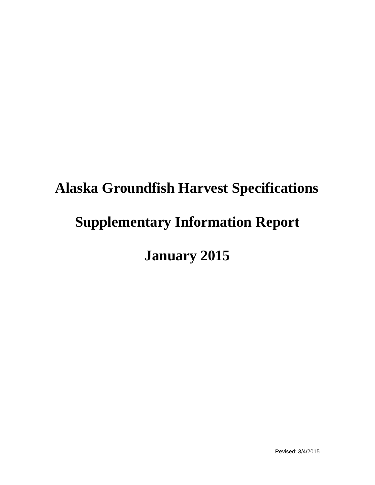# **Alaska Groundfish Harvest Specifications Supplementary Information Report January 2015**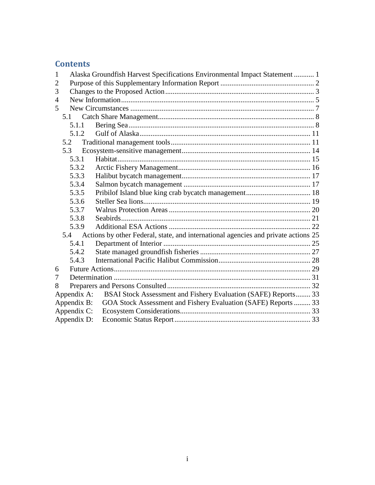# **Contents**

| 1              |             | Alaska Groundfish Harvest Specifications Environmental Impact Statement  1             |  |  |  |  |  |  |
|----------------|-------------|----------------------------------------------------------------------------------------|--|--|--|--|--|--|
| 2              |             |                                                                                        |  |  |  |  |  |  |
| 3              |             |                                                                                        |  |  |  |  |  |  |
| $\overline{4}$ |             |                                                                                        |  |  |  |  |  |  |
| 5              |             |                                                                                        |  |  |  |  |  |  |
|                |             |                                                                                        |  |  |  |  |  |  |
| 5.1.1          |             |                                                                                        |  |  |  |  |  |  |
|                | 5.1.2       |                                                                                        |  |  |  |  |  |  |
|                | 5.2         |                                                                                        |  |  |  |  |  |  |
|                | 5.3         |                                                                                        |  |  |  |  |  |  |
|                | 5.3.1       |                                                                                        |  |  |  |  |  |  |
|                | 5.3.2       |                                                                                        |  |  |  |  |  |  |
|                | 5.3.3       |                                                                                        |  |  |  |  |  |  |
|                | 5.3.4       |                                                                                        |  |  |  |  |  |  |
|                | 5.3.5       |                                                                                        |  |  |  |  |  |  |
|                | 5.3.6       |                                                                                        |  |  |  |  |  |  |
|                | 5.3.7       |                                                                                        |  |  |  |  |  |  |
|                | 5.3.8       |                                                                                        |  |  |  |  |  |  |
|                | 5.3.9       |                                                                                        |  |  |  |  |  |  |
|                |             | 5.4 Actions by other Federal, state, and international agencies and private actions 25 |  |  |  |  |  |  |
|                | 5.4.1       |                                                                                        |  |  |  |  |  |  |
|                | 5.4.2       |                                                                                        |  |  |  |  |  |  |
|                | 5.4.3       |                                                                                        |  |  |  |  |  |  |
| 6              |             |                                                                                        |  |  |  |  |  |  |
| 7              |             |                                                                                        |  |  |  |  |  |  |
| 8              |             |                                                                                        |  |  |  |  |  |  |
|                | Appendix A: | BSAI Stock Assessment and Fishery Evaluation (SAFE) Reports 33                         |  |  |  |  |  |  |
|                | Appendix B: | GOA Stock Assessment and Fishery Evaluation (SAFE) Reports  33                         |  |  |  |  |  |  |
|                | Appendix C: |                                                                                        |  |  |  |  |  |  |
|                | Appendix D: |                                                                                        |  |  |  |  |  |  |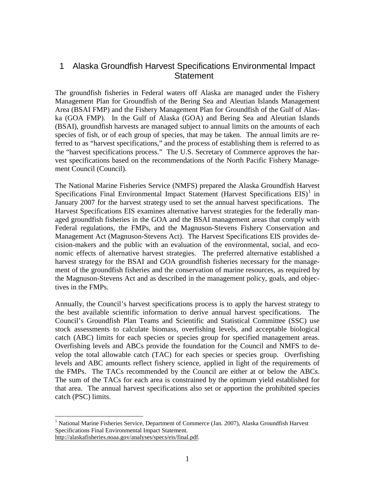# <span id="page-2-0"></span> 1 Alaska Groundfish Harvest Specifications Environmental Impact **Statement**

 The groundfish fisheries in Federal waters off Alaska are managed under the Fishery Management Plan for Groundfish of the Bering Sea and Aleutian Islands Management Area (BSAI FMP) and the Fishery Management Plan for Groundfish of the Gulf of Alaska (GOA FMP). In the Gulf of Alaska (GOA) and Bering Sea and Aleutian Islands (BSAI), groundfish harvests are managed subject to annual limits on the amounts of each species of fish, or of each group of species, that may be taken. The annual limits are referred to as "harvest specifications," and the process of establishing them is referred to as the "harvest specifications process." The U.S. Secretary of Commerce approves the harvest specifications based on the recommendations of the North Pacific Fishery Management Council (Council).

 nomic effects of alternative harvest strategies. The preferred alternative established a harvest strategy for the BSAI and GOA groundfish fisheries necessary for the managetives in the FMPs. The National Marine Fisheries Service (NMFS) prepared the Alaska Groundfish Harvest Specifications Final Environmental Impact Statement (Harvest Specifications  $EIS$ )<sup>1</sup> in January 2007 for the harvest strategy used to set the annual harvest specifications. The Harvest Specifications EIS examines alternative harvest strategies for the federally managed groundfish fisheries in the GOA and the BSAI management areas that comply with Federal regulations, the FMPs, and the Magnuson-Stevens Fishery Conservation and Management Act (Magnuson-Stevens Act). The Harvest Specifications EIS provides decision-makers and the public with an evaluation of the environmental, social, and ecoment of the groundfish fisheries and the conservation of marine resources, as required by the Magnuson-Stevens Act and as described in the management policy, goals, and objec-

 Council's Groundfish Plan Teams and Scientific and Statistical Committee (SSC) use catch (ABC) limits for each species or species group for specified management areas. that area. The annual harvest specifications also set or apportion the prohibited species catch (PSC) limits. Annually, the Council's harvest specifications process is to apply the harvest strategy to the best available scientific information to derive annual harvest specifications. The stock assessments to calculate biomass, overfishing levels, and acceptable biological Overfishing levels and ABCs provide the foundation for the Council and NMFS to develop the total allowable catch (TAC) for each species or species group. Overfishing levels and ABC amounts reflect fishery science, applied in light of the requirements of the FMPs. The TACs recommended by the Council are either at or below the ABCs. The sum of the TACs for each area is constrained by the optimum yield established for

<span id="page-2-1"></span><sup>&</sup>lt;u>.</u> <sup>1</sup> National Marine Fisheries Service, Department of Commerce (Jan. 2007), Alaska Groundfish Harvest Specifications Final Environmental Impact Statement. http://alaskafisheries.noaa.gov/analyses/specs/eis/final.pdf.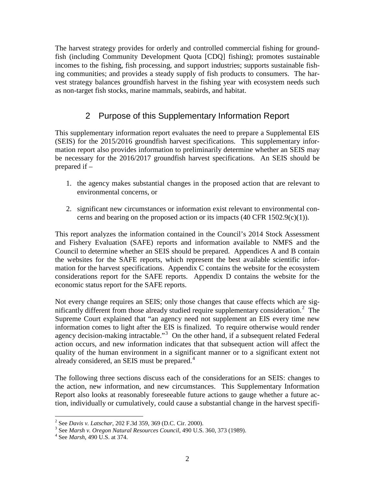<span id="page-3-0"></span> ing communities; and provides a steady supply of fish products to consumers. The har- vest strategy balances groundfish harvest in the fishing year with ecosystem needs such The harvest strategy provides for orderly and controlled commercial fishing for groundfish (including Community Development Quota [CDQ] fishing); promotes sustainable incomes to the fishing, fish processing, and support industries; supports sustainable fishas non-target fish stocks, marine mammals, seabirds, and habitat.

# 2 Purpose of this Supplementary Information Report

 (SEIS) for the 2015/2016 groundfish harvest specifications. This supplementary infor- be necessary for the 2016/2017 groundfish harvest specifications. An SEIS should be prepared if – This supplementary information report evaluates the need to prepare a Supplemental EIS mation report also provides information to preliminarily determine whether an SEIS may

- 1. the agency makes substantial changes in the proposed action that are relevant to environmental concerns, or
- 2. significant new circumstances or information exist relevant to environmental concerns and bearing on the proposed action or its impacts  $(40 \text{ CFR } 1502.9(c)(1))$ .

 Council to determine whether an SEIS should be prepared. Appendices A and B contain mation for the harvest specifications. Appendix C contains the website for the ecosystem This report analyzes the information contained in the Council's 2014 Stock Assessment and Fishery Evaluation (SAFE) reports and information available to NMFS and the the websites for the SAFE reports, which represent the best available scientific inforconsiderations report for the SAFE reports. Appendix D contains the website for the economic status report for the SAFE reports.

nificantly different from those already studied require supplementary consideration. $2$  The agency decision-making intractable."<sup>[3](#page-3-2)</sup> On the other hand, if a subsequent related Federal already considered, an SEIS must be prepared.<sup>[4](#page-3-3)</sup> Not every change requires an SEIS; only those changes that cause effects which are sig-Supreme Court explained that "an agency need not supplement an EIS every time new information comes to light after the EIS is finalized. To require otherwise would render action occurs, and new information indicates that that subsequent action will affect the quality of the human environment in a significant manner or to a significant extent not

 the action, new information, and new circumstances. This Supplementary Information The following three sections discuss each of the considerations for an SEIS: changes to Report also looks at reasonably foreseeable future actions to gauge whether a future action, individually or cumulatively, could cause a substantial change in the harvest specifi-

<sup>&</sup>lt;sup>2</sup> See Davis v. Latschar, 202 F.3d 359, 369 (D.C. Cir. 2000).

<span id="page-3-1"></span><sup>&</sup>lt;sup>2</sup> See *Davis v. Latschar*, 202 F.3d 359, 369 (D.C. Cir. 2000).<br><sup>3</sup> See *Marsh v. Oregon Natural Resources Council*, 490 U.S. 360, 373 (1989).<br><sup>4</sup> See *Marsh*, 490 U.S. at 374.

<span id="page-3-3"></span><span id="page-3-2"></span>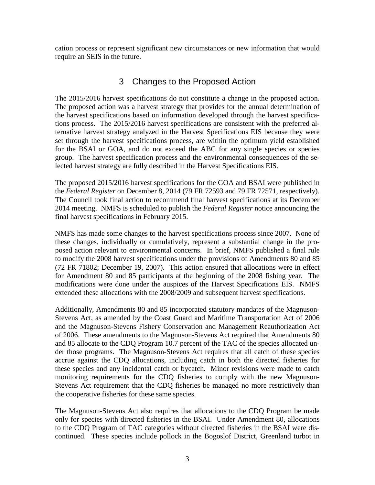<span id="page-4-0"></span>cation process or represent significant new circumstances or new information that would require an SEIS in the future.

# 3 Changes to the Proposed Action

 group. The harvest specification process and the environmental consequences of the se-The 2015/2016 harvest specifications do not constitute a change in the proposed action. The proposed action was a harvest strategy that provides for the annual determination of the harvest specifications based on information developed through the harvest specifications process. The 2015/2016 harvest specifications are consistent with the preferred alternative harvest strategy analyzed in the Harvest Specifications EIS because they were set through the harvest specifications process, are within the optimum yield established for the BSAI or GOA, and do not exceed the ABC for any single species or species lected harvest strategy are fully described in the Harvest Specifications EIS.

 the *Federal Register* on December 8, 2014 (79 FR 72593 and 79 FR 72571, respectively). final harvest specifications in February 2015. The proposed 2015/2016 harvest specifications for the GOA and BSAI were published in The Council took final action to recommend final harvest specifications at its December 2014 meeting. NMFS is scheduled to publish the *Federal Register* notice announcing the

 NMFS has made some changes to the harvest specifications process since 2007. None of posed action relevant to environmental concerns. In brief, NMFS published a final rule for Amendment 80 and 85 participants at the beginning of the 2008 fishing year. The extended these allocations with the 2008/2009 and subsequent harvest specifications. these changes, individually or cumulatively, represent a substantial change in the proto modify the 2008 harvest specifications under the provisions of Amendments 80 and 85 (72 FR 71802; December 19, 2007). This action ensured that allocations were in effect modifications were done under the auspices of the Harvest Specifications EIS. NMFS

 these species and any incidental catch or bycatch. Minor revisions were made to catch the cooperative fisheries for these same species. Additionally, Amendments 80 and 85 incorporated statutory mandates of the Magnuson-Stevens Act, as amended by the Coast Guard and Maritime Transportation Act of 2006 and the Magnuson-Stevens Fishery Conservation and Management Reauthorization Act of 2006. These amendments to the Magnuson-Stevens Act required that Amendments 80 and 85 allocate to the CDQ Program 10.7 percent of the TAC of the species allocated under those programs. The Magnuson-Stevens Act requires that all catch of these species accrue against the CDQ allocations, including catch in both the directed fisheries for monitoring requirements for the CDQ fisheries to comply with the new Magnuson-Stevens Act requirement that the CDQ fisheries be managed no more restrictively than

The Magnuson-Stevens Act also requires that allocations to the CDQ Program be made only for species with directed fisheries in the BSAI. Under Amendment 80, allocations to the CDQ Program of TAC categories without directed fisheries in the BSAI were discontinued. These species include pollock in the Bogoslof District, Greenland turbot in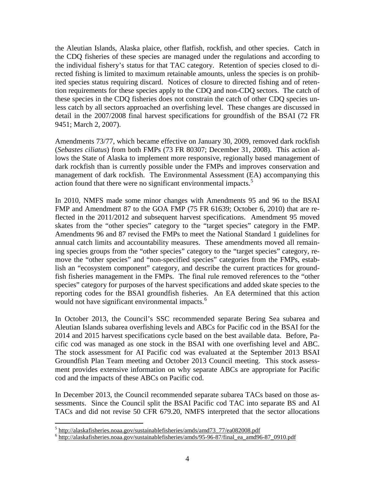ited species status requiring discard. Notices of closure to directed fishing and of retenthe Aleutian Islands, Alaska plaice, other flatfish, rockfish, and other species. Catch in the CDQ fisheries of these species are managed under the regulations and according to the individual fishery's status for that TAC category. Retention of species closed to directed fishing is limited to maximum retainable amounts, unless the species is on prohibtion requirements for these species apply to the CDQ and non-CDQ sectors. The catch of these species in the CDQ fisheries does not constrain the catch of other CDQ species unless catch by all sectors approached an overfishing level. These changes are discussed in detail in the 2007/2008 final harvest specifications for groundfish of the BSAI (72 FR 9451; March 2, 2007).

action found that there were no significant environmental impacts.<sup>[5](#page-5-0)</sup> Amendments 73/77, which became effective on January 30, 2009, removed dark rockfish (*Sebastes ciliatus*) from both FMPs (73 FR 80307; December 31, 2008). This action allows the State of Alaska to implement more responsive, regionally based management of dark rockfish than is currently possible under the FMPs and improves conservation and management of dark rockfish. The Environmental Assessment (EA) accompanying this

 ing species groups from the "other species" category to the "target species" category, re- reporting codes for the BSAI groundfish fisheries. An EA determined that this action In 2010, NMFS made some minor changes with Amendments 95 and 96 to the BSAI FMP and Amendment 87 to the GOA FMP (75 FR 61639; October 6, 2010) that are reflected in the 2011/2012 and subsequent harvest specifications. Amendment 95 moved skates from the "other species" category to the "target species" category in the FMP. Amendments 96 and 87 revised the FMPs to meet the National Standard 1 guidelines for annual catch limits and accountability measures. These amendments moved all remainmove the "other species" and "non-specified species" categories from the FMPs, establish an "ecosystem component" category, and describe the current practices for groundfish fisheries management in the FMPs. The final rule removed references to the "other species" category for purposes of the harvest specifications and added skate species to the would not have significant environmental impacts.<sup>6</sup>

cific cod was managed as one stock in the BSAI with one overfishing level and ABC. Groundfish Plan Team meeting and October 2013 Council meeting. This stock assess-In October 2013, the Council's SSC recommended separate Bering Sea subarea and Aleutian Islands subarea overfishing levels and ABCs for Pacific cod in the BSAI for the 2014 and 2015 harvest specifications cycle based on the best available data. Before, Pa-The stock assessment for AI Pacific cod was evaluated at the September 2013 BSAI ment provides extensive information on why separate ABCs are appropriate for Pacific cod and the impacts of these ABCs on Pacific cod.

In December 2013, the Council recommended separate subarea TACs based on those assessments. Since the Council split the BSAI Pacific cod TAC into separate BS and AI TACs and did not revise 50 CFR 679.20, NMFS interpreted that the sector allocations

-

<span id="page-5-0"></span><sup>&</sup>lt;sup>5</sup> http://alaskafisheries.noaa.gov/sustainablefisheries/amds/amd73\_77/ea082008.pdf

<span id="page-5-1"></span><sup>6</sup> http://alaskafisheries.noaa.gov/sustainablefisheries/amds/95-96-87/final\_ea\_amd96-87\_0910.pdf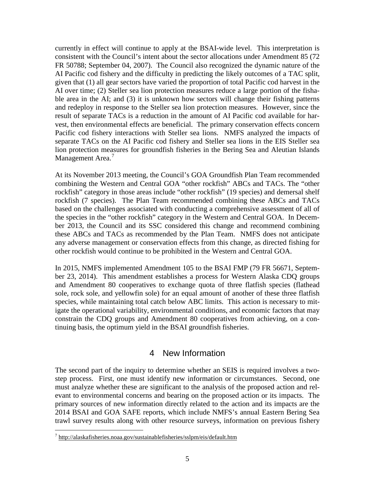<span id="page-6-0"></span> currently in effect will continue to apply at the BSAI-wide level. This interpretation is and redeploy in response to the Steller sea lion protection measures. However, since the vest, then environmental effects are beneficial. The primary conservation effects concern consistent with the Council's intent about the sector allocations under Amendment 85 (72 FR 50788; September 04, 2007). The Council also recognized the dynamic nature of the AI Pacific cod fishery and the difficulty in predicting the likely outcomes of a TAC split, given that (1) all gear sectors have varied the proportion of total Pacific cod harvest in the AI over time; (2) Steller sea lion protection measures reduce a large portion of the fishable area in the AI; and (3) it is unknown how sectors will change their fishing patterns result of separate TACs is a reduction in the amount of AI Pacific cod available for har-Pacific cod fishery interactions with Steller sea lions. NMFS analyzed the impacts of separate TACs on the AI Pacific cod fishery and Steller sea lions in the EIS Steller sea lion protection measures for groundfish fisheries in the Bering Sea and Aleutian Islands Management Area.<sup>7</sup>

 ber 2013, the Council and its SSC considered this change and recommend combining At its November 2013 meeting, the Council's GOA Groundfish Plan Team recommended combining the Western and Central GOA "other rockfish" ABCs and TACs. The "other rockfish" category in those areas include "other rockfish" (19 species) and demersal shelf rockfish (7 species). The Plan Team recommended combining these ABCs and TACs based on the challenges associated with conducting a comprehensive assessment of all of the species in the "other rockfish" category in the Western and Central GOA. In Decemthese ABCs and TACs as recommended by the Plan Team. NMFS does not anticipate any adverse management or conservation effects from this change, as directed fishing for other rockfish would continue to be prohibited in the Western and Central GOA.

 ber 23, 2014). This amendment establishes a process for Western Alaska CDQ groups tinuing basis, the optimum yield in the BSAI groundfish fisheries. In 2015, NMFS implemented Amendment 105 to the BSAI FMP (79 FR 56671, Septemand Amendment 80 cooperatives to exchange quota of three flatfish species (flathead sole, rock sole, and yellowfin sole) for an equal amount of another of these three flatfish species, while maintaining total catch below ABC limits. This action is necessary to mitigate the operational variability, environmental conditions, and economic factors that may constrain the CDQ groups and Amendment 80 cooperatives from achieving, on a con-

# 4 New Information

 step process. First, one must identify new information or circumstances. Second, one must analyze whether these are significant to the analysis of the proposed action and rel- 2014 BSAI and GOA SAFE reports, which include NMFS's annual Eastern Bering Sea The second part of the inquiry to determine whether an SEIS is required involves a twoevant to environmental concerns and bearing on the proposed action or its impacts. The primary sources of new information directly related to the action and its impacts are the trawl survey results along with other resource surveys, information on previous fishery

 $\overline{a}$ 

<span id="page-6-1"></span> $^7$  http://alaskafisheries.noaa.gov/sustainablefisheries/sslpm/eis/default.htm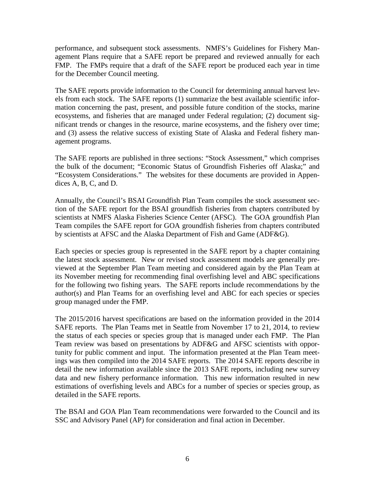performance, and subsequent stock assessments. NMFS's Guidelines for Fishery Man- agement Plans require that a SAFE report be prepared and reviewed annually for each FMP. The FMPs require that a draft of the SAFE report be produced each year in time for the December Council meeting.

 The SAFE reports provide information to the Council for determining annual harvest lev- els from each stock. The SAFE reports (1) summarize the best available scientific infor- ecosystems, and fisheries that are managed under Federal regulation; (2) document sig- and (3) assess the relative success of existing State of Alaska and Federal fishery manmation concerning the past, present, and possible future condition of the stocks, marine nificant trends or changes in the resource, marine ecosystems, and the fishery over time; agement programs.

 "Ecosystem Considerations." The websites for these documents are provided in Appen-The SAFE reports are published in three sections: "Stock Assessment," which comprises the bulk of the document; "Economic Status of Groundfish Fisheries off Alaska;" and dices A, B, C, and D.

 tion of the SAFE report for the BSAI groundfish fisheries from chapters contributed by by scientists at AFSC and the Alaska Department of Fish and Game (ADF&G). Annually, the Council's BSAI Groundfish Plan Team compiles the stock assessment secscientists at NMFS Alaska Fisheries Science Center (AFSC). The GOA groundfish Plan Team compiles the SAFE report for GOA groundfish fisheries from chapters contributed

 author(s) and Plan Teams for an overfishing level and ABC for each species or species Each species or species group is represented in the SAFE report by a chapter containing the latest stock assessment. New or revised stock assessment models are generally previewed at the September Plan Team meeting and considered again by the Plan Team at its November meeting for recommending final overfishing level and ABC specifications for the following two fishing years. The SAFE reports include recommendations by the group managed under the FMP.

 SAFE reports. The Plan Teams met in Seattle from November 17 to 21, 2014, to review estimations of overfishing levels and ABCs for a number of species or species group, as The 2015/2016 harvest specifications are based on the information provided in the 2014 the status of each species or species group that is managed under each FMP. The Plan Team review was based on presentations by ADF&G and AFSC scientists with opportunity for public comment and input. The information presented at the Plan Team meetings was then compiled into the 2014 SAFE reports. The 2014 SAFE reports describe in detail the new information available since the 2013 SAFE reports, including new survey data and new fishery performance information. This new information resulted in new detailed in the SAFE reports.

The BSAI and GOA Plan Team recommendations were forwarded to the Council and its SSC and Advisory Panel (AP) for consideration and final action in December.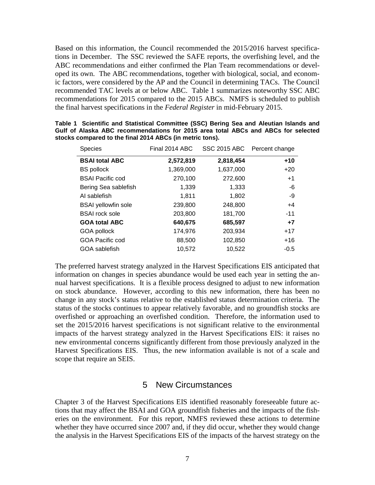Based on this information, the Council recommended the 2015/2016 harvest specifications in December. The SSC reviewed the SAFE reports, the overfishing level, and the ABC recommendations and either confirmed the Plan Team recommendations or developed its own. The ABC recommendations, together with biological, social, and economic factors, were considered by the AP and the Council in determining TACs. The Council recommended TAC levels at or below ABC. Table 1 summarizes noteworthy SSC ABC recommendations for 2015 compared to the 2015 ABCs. NMFS is scheduled to publish the final harvest specifications in the *Federal Register* in mid-February 2015.

| <b>Species</b>             | Final 2014 ABC |           | SSC 2015 ABC Percent change |
|----------------------------|----------------|-----------|-----------------------------|
| <b>BSAI total ABC</b>      | 2,572,819      | 2,818,454 | $+10$                       |
| <b>BS</b> pollock          | 1,369,000      | 1,637,000 | $+20$                       |
| <b>BSAI Pacific cod</b>    | 270,100        | 272,600   | $+1$                        |
| Bering Sea sablefish       | 1,339          | 1,333     | -6                          |
| AI sablefish               | 1,811          | 1,802     | -9                          |
| <b>BSAI</b> yellowfin sole | 239,800        | 248,800   | $+4$                        |
| <b>BSAI</b> rock sole      | 203,800        | 181,700   | $-11$                       |
| <b>GOA total ABC</b>       | 640,675        | 685,597   | $+7$                        |
| GOA pollock                | 174,976        | 203,934   | $+17$                       |
| <b>GOA Pacific cod</b>     | 88,500         | 102,850   | $+16$                       |
| GOA sablefish              | 10,572         | 10,522    | $-0.5$                      |

|                                                          |  | Table 1 Scientific and Statistical Committee (SSC) Bering Sea and Aleutian Islands and |  |  |  |  |  |  |  |
|----------------------------------------------------------|--|----------------------------------------------------------------------------------------|--|--|--|--|--|--|--|
|                                                          |  | Gulf of Alaska ABC recommendations for 2015 area total ABCs and ABCs for selected      |  |  |  |  |  |  |  |
| stocks compared to the final 2014 ABCs (in metric tons). |  |                                                                                        |  |  |  |  |  |  |  |

 information on changes in species abundance would be used each year in setting the an- nual harvest specifications. It is a flexible process designed to adjust to new information on stock abundance. However, according to this new information, there has been no change in any stock's status relative to the established status determination criteria. The scope that require an SEIS. The preferred harvest strategy analyzed in the Harvest Specifications EIS anticipated that status of the stocks continues to appear relatively favorable, and no groundfish stocks are overfished or approaching an overfished condition. Therefore, the information used to set the 2015/2016 harvest specifications is not significant relative to the environmental impacts of the harvest strategy analyzed in the Harvest Specifications EIS: it raises no new environmental concerns significantly different from those previously analyzed in the Harvest Specifications EIS. Thus, the new information available is not of a scale and

#### 5 New Circumstances

 whether they have occurred since 2007 and, if they did occur, whether they would change the analysis in the Harvest Specifications EIS of the impacts of the harvest strategy on the Chapter 3 of the Harvest Specifications EIS identified reasonably foreseeable future actions that may affect the BSAI and GOA groundfish fisheries and the impacts of the fisheries on the environment. For this report, NMFS reviewed these actions to determine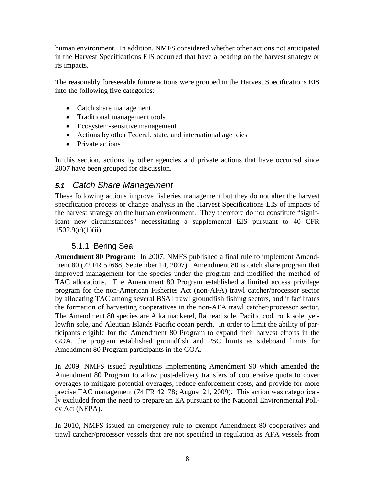<span id="page-9-0"></span> human environment. In addition, NMFS considered whether other actions not anticipated in the Harvest Specifications EIS occurred that have a bearing on the harvest strategy or its impacts.

 into the following five categories: The reasonably foreseeable future actions were grouped in the Harvest Specifications EIS

- Catch share management
- Traditional management tools
- Ecosystem-sensitive management
- Actions by other Federal, state, and international agencies
- Private actions

In this section, actions by other agencies and private actions that have occurred since 2007 have been grouped for discussion.

# *5.1 Catch Share Management*

These following actions improve fisheries management but they do not alter the harvest specification process or change analysis in the Harvest Specifications EIS of impacts of the harvest strategy on the human environment. They therefore do not constitute "significant new circumstances" necessitating a supplemental EIS pursuant to 40 CFR  $1502.9(c)(1)(ii)$ .

## 5.1.1 Bering Sea

 **Amendment 80 Program:** In 2007, NMFS published a final rule to implement Amend- ment 80 (72 FR 52668; September 14, 2007). Amendment 80 is catch share program that TAC allocations. The Amendment 80 Program established a limited access privilege program for the non-American Fisheries Act (non-AFA) trawl catcher/processor sector the formation of harvesting cooperatives in the non-AFA trawl catcher/processor sector. ticipants eligible for the Amendment 80 Program to expand their harvest efforts in the improved management for the species under the program and modified the method of by allocating TAC among several BSAI trawl groundfish fishing sectors, and it facilitates The Amendment 80 species are Atka mackerel, flathead sole, Pacific cod, rock sole, yellowfin sole, and Aleutian Islands Pacific ocean perch. In order to limit the ability of par-GOA, the program established groundfish and PSC limits as sideboard limits for Amendment 80 Program participants in the GOA.

 In 2009, NMFS issued regulations implementing Amendment 90 which amended the precise TAC management (74 FR 42178; August 21, 2009). This action was categorical-Amendment 80 Program to allow post-delivery transfers of cooperative quota to cover overages to mitigate potential overages, reduce enforcement costs, and provide for more ly excluded from the need to prepare an EA pursuant to the National Environmental Policy Act (NEPA).

In 2010, NMFS issued an emergency rule to exempt Amendment 80 cooperatives and trawl catcher/processor vessels that are not specified in regulation as AFA vessels from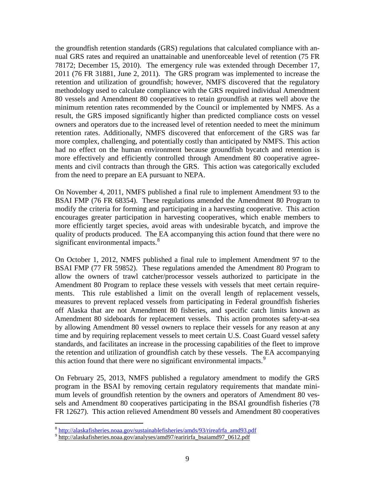the groundfish retention standards (GRS) regulations that calculated compliance with an- ments and civil contracts than through the GRS. This action was categorically excluded from the need to prepare an EA pursuant to NEPA. nual GRS rates and required an unattainable and unenforceable level of retention (75 FR 78172; December 15, 2010). The emergency rule was extended through December 17, 2011 (76 FR 31881, June 2, 2011). The GRS program was implemented to increase the retention and utilization of groundfish; however, NMFS discovered that the regulatory methodology used to calculate compliance with the GRS required individual Amendment 80 vessels and Amendment 80 cooperatives to retain groundfish at rates well above the minimum retention rates recommended by the Council or implemented by NMFS. As a result, the GRS imposed significantly higher than predicted compliance costs on vessel owners and operators due to the increased level of retention needed to meet the minimum retention rates. Additionally, NMFS discovered that enforcement of the GRS was far more complex, challenging, and potentially costly than anticipated by NMFS. This action had no effect on the human environment because groundfish bycatch and retention is more effectively and efficiently controlled through Amendment 80 cooperative agree-

 BSAI FMP (76 FR 68354). These regulations amended the Amendment 80 Program to modify the criteria for forming and participating in a harvesting cooperative. This action On November 4, 2011, NMFS published a final rule to implement Amendment 93 to the encourages greater participation in harvesting cooperatives, which enable members to more efficiently target species, avoid areas with undesirable bycatch, and improve the quality of products produced. The EA accompanying this action found that there were no significant environmental impacts.<sup>8</sup>

 by allowing Amendment 80 vessel owners to replace their vessels for any reason at any time and by requiring replacement vessels to meet certain U.S. Coast Guard vessel safety On October 1, 2012, NMFS published a final rule to implement Amendment 97 to the BSAI FMP (77 FR 59852). These regulations amended the Amendment 80 Program to allow the owners of trawl catcher/processor vessels authorized to participate in the Amendment 80 Program to replace these vessels with vessels that meet certain requirements. This rule established a limit on the overall length of replacement vessels, measures to prevent replaced vessels from participating in Federal groundfish fisheries off Alaska that are not Amendment 80 fisheries, and specific catch limits known as Amendment 80 sideboards for replacement vessels. This action promotes safety-at-sea standards, and facilitates an increase in the processing capabilities of the fleet to improve the retention and utilization of groundfish catch by these vessels. The EA accompanying this action found that there were no significant environmental impacts.<sup>9</sup>

 program in the BSAI by removing certain regulatory requirements that mandate mini- sels and Amendment 80 cooperatives participating in the BSAI groundfish fisheries (78 On February 25, 2013, NMFS published a regulatory amendment to modify the GRS mum levels of groundfish retention by the owners and operators of Amendment 80 ves-FR 12627). This action relieved Amendment 80 vessels and Amendment 80 cooperatives

 $\overline{a}$ 

<span id="page-10-0"></span><sup>&</sup>lt;sup>8</sup> http://alaskafisheries.noaa.gov/sustainablefisheries/amds/93/rireafrfa\_amd93.pdf

<span id="page-10-1"></span><sup>&</sup>lt;sup>9</sup> http://alaskafisheries.noaa.gov/analyses/amd97/earirirfa\_bsaiamd97\_0612.pdf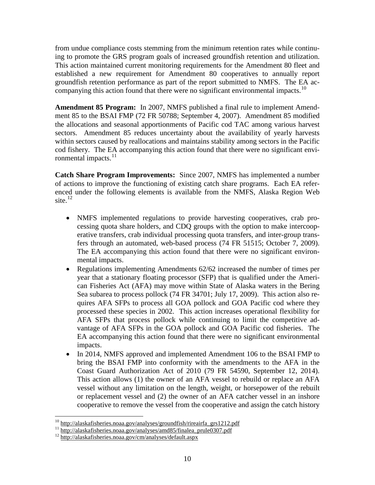established a new requirement for Amendment 80 cooperatives to annually report groundfish retention performance as part of the report submitted to NMFS. The EA ac-companying this action found that there were no significant environmental impacts.<sup>[10](#page-11-0)</sup> from undue compliance costs stemming from the minimum retention rates while continuing to promote the GRS program goals of increased groundfish retention and utilization. This action maintained current monitoring requirements for the Amendment 80 fleet and

 **Amendment 85 Program:** In 2007, NMFS published a final rule to implement Amend- ment 85 to the BSAI FMP (72 FR 50788; September 4, 2007). Amendment 85 modified the allocations and seasonal apportionments of Pacific cod TAC among various harvest sectors. Amendment 85 reduces uncertainty about the availability of yearly harvests within sectors caused by reallocations and maintains stability among sectors in the Pacific cod fishery. The EA accompanying this action found that there were no significant environmental impacts.<sup>11</sup>

 **Catch Share Program Improvements:** Since 2007, NMFS has implemented a number of actions to improve the functioning of existing catch share programs. Each EA referenced under the following elements is available from the NMFS, Alaska Region Web site. $^{12}$  $^{12}$  $^{12}$ 

- cessing quota share holders, and CDQ groups with the option to make intercoop- fers through an automated, web-based process (74 FR 51515; October 7, 2009). mental impacts. • NMFS implemented regulations to provide harvesting cooperatives, crab proerative transfers, crab individual processing quota transfers, and inter-group trans-The EA accompanying this action found that there were no significant environ-
- processed these species in 2002. This action increases operational flexibility for vantage of AFA SFPs in the GOA pollock and GOA Pacific cod fisheries. The • Regulations implementing Amendments 62/62 increased the number of times per year that a stationary floating processor (SFP) that is qualified under the American Fisheries Act (AFA) may move within State of Alaska waters in the Bering Sea subarea to process pollock (74 FR 34701; July 17, 2009). This action also requires AFA SFPs to process all GOA pollock and GOA Pacific cod where they AFA SFPs that process pollock while continuing to limit the competitive ad-EA accompanying this action found that there were no significant environmental impacts.
- • In 2014, NMFS approved and implemented Amendment 106 to the BSAI FMP to bring the BSAI FMP into conformity with the amendments to the AFA in the Coast Guard Authorization Act of 2010 (79 FR 54590, September 12, 2014). This action allows (1) the owner of an AFA vessel to rebuild or replace an AFA vessel without any limitation on the length, weight, or horsepower of the rebuilt or replacement vessel and (2) the owner of an AFA catcher vessel in an inshore cooperative to remove the vessel from the cooperative and assign the catch history

<span id="page-11-0"></span> $10$  http://alaskafisheries.noaa.gov/analyses/groundfish/rireairfa\_grs1212.pdf

<span id="page-11-2"></span><span id="page-11-1"></span><sup>&</sup>lt;sup>11</sup> http://alaskafisheries.noaa.gov/analyses/amd85/finalea\_prule0307.pdf<br><sup>12</sup> http://alaskafisheries.noaa.gov/cm/analyses/default.aspx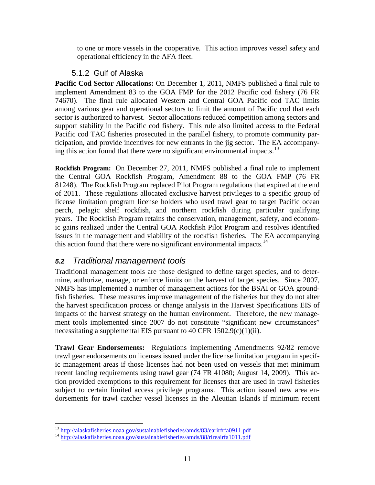<span id="page-12-0"></span>to one or more vessels in the cooperative. This action improves vessel safety and operational efficiency in the AFA fleet.

# 5.1.2 Gulf of Alaska

 74670). The final rule allocated Western and Central GOA Pacific cod TAC limits sector is authorized to harvest. Sector allocations reduced competition among sectors and support stability in the Pacific cod fishery. This rule also limited access to the Federal ticipation, and provide incentives for new entrants in the jig sector. The EA accompany-**Pacific Cod Sector Allocations:** On December 1, 2011, NMFS published a final rule to implement Amendment 83 to the GOA FMP for the 2012 Pacific cod fishery (76 FR among various gear and operational sectors to limit the amount of Pacific cod that each Pacific cod TAC fisheries prosecuted in the parallel fishery, to promote community par-ing this action found that there were no significant environmental impacts.<sup>[13](#page-12-1)</sup>

 **Rockfish Program:** On December 27, 2011, NMFS published a final rule to implement 81248). The Rockfish Program replaced Pilot Program regulations that expired at the end of 2011. These regulations allocated exclusive harvest privileges to a specific group of license limitation program license holders who used trawl gear to target Pacific ocean years. The Rockfish Program retains the conservation, management, safety, and econom- issues in the management and viability of the rockfish fisheries. The EA accompanying the Central GOA Rockfish Program, Amendment 88 to the GOA FMP (76 FR perch, pelagic shelf rockfish, and northern rockfish during particular qualifying ic gains realized under the Central GOA Rockfish Pilot Program and resolves identified this action found that there were no significant environmental impacts.<sup>14</sup>

# *5.2 Traditional management tools*

 mine, authorize, manage, or enforce limits on the harvest of target species. Since 2007, fish fisheries. These measures improve management of the fisheries but they do not alter Traditional management tools are those designed to define target species, and to deter-NMFS has implemented a number of management actions for the BSAI or GOA groundthe harvest specification process or change analysis in the Harvest Specifications EIS of impacts of the harvest strategy on the human environment. Therefore, the new management tools implemented since 2007 do not constitute "significant new circumstances" necessitating a supplemental EIS pursuant to 40 CFR  $1502.9(c)(1)(ii)$ .

**Trawl Gear Endorsements:** Regulations implementing Amendments 92/82 remove trawl gear endorsements on licenses issued under the license limitation program in specific management areas if those licenses had not been used on vessels that met minimum recent landing requirements using trawl gear (74 FR 41080; August 14, 2009). This action provided exemptions to this requirement for licenses that are used in trawl fisheries subject to certain limited access privilege programs. This action issued new area endorsements for trawl catcher vessel licenses in the Aleutian Islands if minimum recent

<span id="page-12-1"></span><sup>&</sup>lt;sup>13</sup> http://alaskafisheries.noaa.gov/sustainablefisheries/amds/83/earirfrfa0911.pdf

<span id="page-12-2"></span> $14 \text{ http://alaskafisheries.noaa.gov/sustainablefisheries/amds/88/rireairfa1011.pdf}$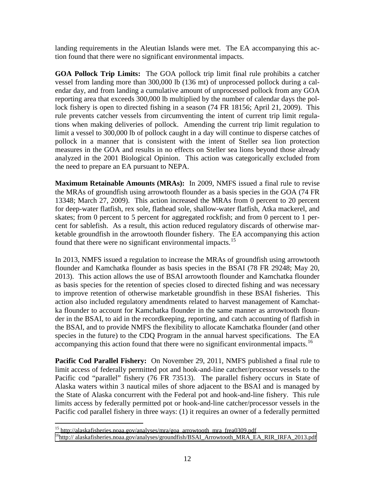landing requirements in the Aleutian Islands were met. The EA accompanying this action found that there were no significant environmental impacts.

 **GOA Pollock Trip Limits:** The GOA pollock trip limit final rule prohibits a catcher vessel from landing more than 300,000 lb (136 mt) of unprocessed pollock during a cal- endar day, and from landing a cumulative amount of unprocessed pollock from any GOA lock fishery is open to directed fishing in a season (74 FR 18156; April 21, 2009). This rule prevents catcher vessels from circumventing the intent of current trip limit regula- tions when making deliveries of pollock. Amending the current trip limit regulation to limit a vessel to 300,000 lb of pollock caught in a day will continue to disperse catches of analyzed in the 2001 Biological Opinion. This action was categorically excluded from reporting area that exceeds 300,000 lb multiplied by the number of calendar days the polpollock in a manner that is consistent with the intent of Steller sea lion protection measures in the GOA and results in no effects on Steller sea lions beyond those already the need to prepare an EA pursuant to NEPA.

 **Maximum Retainable Amounts (MRAs):** In 2009, NMFS issued a final rule to revise skates; from 0 percent to 5 percent for aggregated rockfish; and from 0 percent to 1 per- cent for sablefish. As a result, this action reduced regulatory discards of otherwise mar- ketable groundfish in the arrowtooth flounder fishery. The EA accompanying this action found that there were no significant environmental impacts.<sup>[15](#page-13-0)</sup> the MRAs of groundfish using arrowtooth flounder as a basis species in the GOA (74 FR 13348; March 27, 2009). This action increased the MRAs from 0 percent to 20 percent for deep-water flatfish, rex sole, flathead sole, shallow-water flatfish, Atka mackerel, and

 flounder and Kamchatka flounder as basis species in the BSAI (78 FR 29248; May 20, as basis species for the retention of species closed to directed fishing and was necessary the BSAI, and to provide NMFS the flexibility to allocate Kamchatka flounder (and other In 2013, NMFS issued a regulation to increase the MRAs of groundfish using arrowtooth 2013). This action allows the use of BSAI arrowtooth flounder and Kamchatka flounder to improve retention of otherwise marketable groundfish in these BSAI fisheries. This action also included regulatory amendments related to harvest management of Kamchatka flounder to account for Kamchatka flounder in the same manner as arrowtooth flounder in the BSAI, to aid in the recordkeeping, reporting, and catch accounting of flatfish in species in the future) to the CDQ Program in the annual harvest specifications. The EA accompanying this action found that there were no significant environmental impacts.<sup>16</sup>

 **Pacific Cod Parallel Fishery:** On November 29, 2011, NMFS published a final rule to limits access by federally permitted pot or hook-and-line catcher/processor vessels in the limit access of federally permitted pot and hook-and-line catcher/processor vessels to the Pacific cod "parallel" fishery (76 FR 73513). The parallel fishery occurs in State of Alaska waters within 3 nautical miles of shore adjacent to the BSAI and is managed by the State of Alaska concurrent with the Federal pot and hook-and-line fishery. This rule Pacific cod parallel fishery in three ways: (1) it requires an owner of a federally permitted

<span id="page-13-0"></span> $15$  http://alaskafisheries.noaa.gov/analyses/mra/goa\_arrowtooth\_mra\_frea0309.pdf

<span id="page-13-1"></span> $16$ http://alaskafisheries.noaa.gov/analyses/groundfish/BSAI\_Arrowtooth\_MRA\_EA\_RIR\_IRFA\_2013.pdf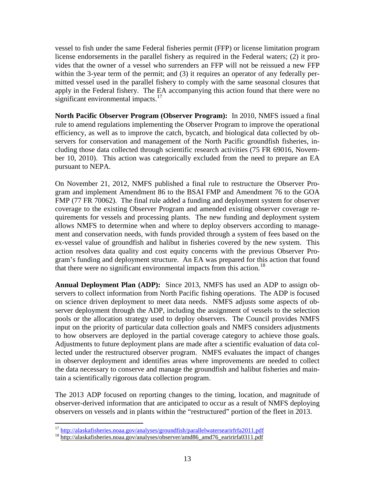apply in the Federal fishery. The EA accompanying this action found that there were no vessel to fish under the same Federal fisheries permit (FFP) or license limitation program license endorsements in the parallel fishery as required in the Federal waters; (2) it provides that the owner of a vessel who surrenders an FFP will not be reissued a new FFP within the 3-year term of the permit; and (3) it requires an operator of any federally permitted vessel used in the parallel fishery to comply with the same seasonal closures that significant environmental impacts.<sup>17</sup>

 **North Pacific Observer Program (Observer Program):** In 2010, NMFS issued a final rule to amend regulations implementing the Observer Program to improve the operational cluding those data collected through scientific research activities (75 FR 69016, Novem- ber 10, 2010). This action was categorically excluded from the need to prepare an EA efficiency, as well as to improve the catch, bycatch, and biological data collected by observers for conservation and management of the North Pacific groundfish fisheries, inpursuant to NEPA.

 FMP (77 FR 70062). The final rule added a funding and deployment system for observer quirements for vessels and processing plants. The new funding and deployment system On November 21, 2012, NMFS published a final rule to restructure the Observer Program and implement Amendment 86 to the BSAI FMP and Amendment 76 to the GOA coverage to the existing Observer Program and amended existing observer coverage reallows NMFS to determine when and where to deploy observers according to management and conservation needs, with funds provided through a system of fees based on the ex-vessel value of groundfish and halibut in fisheries covered by the new system. This action resolves data quality and cost equity concerns with the previous Observer Program's funding and deployment structure. An EA was prepared for this action that found that there were no significant environmental impacts from this action.<sup>[18](#page-14-1)</sup>

 **Annual Deployment Plan (ADP):** Since 2013, NMFS has used an ADP to assign ob- to how observers are deployed in the partial coverage category to achieve those goals. servers to collect information from North Pacific fishing operations. The ADP is focused on science driven deployment to meet data needs. NMFS adjusts some aspects of observer deployment through the ADP, including the assignment of vessels to the selection pools or the allocation strategy used to deploy observers. The Council provides NMFS input on the priority of particular data collection goals and NMFS considers adjustments Adjustments to future deployment plans are made after a scientific evaluation of data collected under the restructured observer program. NMFS evaluates the impact of changes in observer deployment and identifies areas where improvements are needed to collect the data necessary to conserve and manage the groundfish and halibut fisheries and maintain a scientifically rigorous data collection program.

The 2013 ADP focused on reporting changes to the timing, location, and magnitude of observer-derived information that are anticipated to occur as a result of NMFS deploying observers on vessels and in plants within the "restructured" portion of the fleet in 2013.

<span id="page-14-0"></span><sup>&</sup>lt;sup>17</sup> http://alaskafisheries.noaa.gov/analyses/groundfish/parallelwatersearirfrfa2011.pdf

<span id="page-14-1"></span><sup>&</sup>lt;sup>18</sup> http://alaskafisheries.noaa.gov/analyses/observer/amd86\_amd76\_earirirfa0311.pdf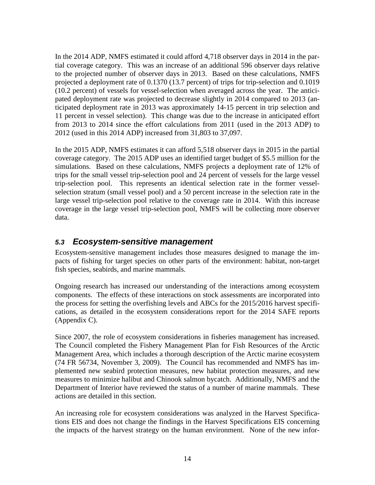<span id="page-15-0"></span> ticipated deployment rate in 2013 was approximately 14-15 percent in trip selection and 11 percent in vessel selection). This change was due to the increase in anticipated effort In the 2014 ADP, NMFS estimated it could afford 4,718 observer days in 2014 in the partial coverage category. This was an increase of an additional 596 observer days relative to the projected number of observer days in 2013. Based on these calculations, NMFS projected a deployment rate of 0.1370 (13.7 percent) of trips for trip-selection and 0.1019 (10.2 percent) of vessels for vessel-selection when averaged across the year. The anticipated deployment rate was projected to decrease slightly in 2014 compared to 2013 (anfrom 2013 to 2014 since the effort calculations from 2011 (used in the 2013 ADP) to 2012 (used in this 2014 ADP) increased from 31,803 to 37,097.

 coverage category. The 2015 ADP uses an identified target budget of \$5.5 million for the trips for the small vessel trip-selection pool and 24 percent of vessels for the large vessel selection stratum (small vessel pool) and a 50 percent increase in the selection rate in the In the 2015 ADP, NMFS estimates it can afford 5,518 observer days in 2015 in the partial simulations. Based on these calculations, NMFS projects a deployment rate of 12% of trip-selection pool. This represents an identical selection rate in the former vessellarge vessel trip-selection pool relative to the coverage rate in 2014. With this increase coverage in the large vessel trip-selection pool, NMFS will be collecting more observer data.

# *5.3 Ecosystem-sensitive management*

 pacts of fishing for target species on other parts of the environment: habitat, non-target fish species, seabirds, and marine mammals. Ecosystem-sensitive management includes those measures designed to manage the im-

Ongoing research has increased our understanding of the interactions among ecosystem components. The effects of these interactions on stock assessments are incorporated into the process for setting the overfishing levels and ABCs for the 2015/2016 harvest specifications, as detailed in the ecosystem considerations report for the 2014 SAFE reports (Appendix C).

Since 2007, the role of ecosystem considerations in fisheries management has increased. (74 FR 56734, November 3, 2009). The Council has recommended and NMFS has im-The Council completed the Fishery Management Plan for Fish Resources of the Arctic Management Area, which includes a thorough description of the Arctic marine ecosystem plemented new seabird protection measures, new habitat protection measures, and new measures to minimize halibut and Chinook salmon bycatch. Additionally, NMFS and the Department of Interior have reviewed the status of a number of marine mammals. These actions are detailed in this section.

 An increasing role for ecosystem considerations was analyzed in the Harvest Specifica- the impacts of the harvest strategy on the human environment. None of the new infortions EIS and does not change the findings in the Harvest Specifications EIS concerning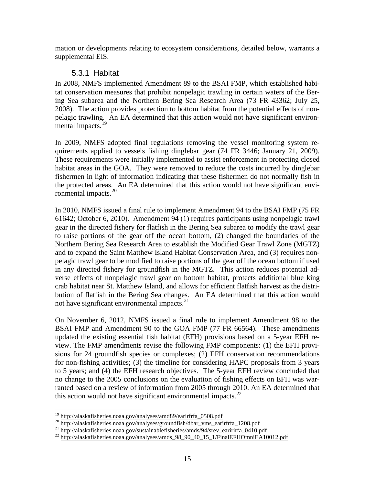<span id="page-16-0"></span>mation or developments relating to ecosystem considerations, detailed below, warrants a supplemental EIS.

# 5.3.1 Habitat

 pelagic trawling. An EA determined that this action would not have significant environ-In 2008, NMFS implemented Amendment 89 to the BSAI FMP, which established habitat conservation measures that prohibit nonpelagic trawling in certain waters of the Bering Sea subarea and the Northern Bering Sea Research Area (73 FR 43362; July 25, 2008). The action provides protection to bottom habitat from the potential effects of nonmental impacts.<sup>19</sup>

 habitat areas in the GOA. They were removed to reduce the costs incurred by dinglebar In 2009, NMFS adopted final regulations removing the vessel monitoring system requirements applied to vessels fishing dinglebar gear (74 FR 3446; January 21, 2009). These requirements were initially implemented to assist enforcement in protecting closed fishermen in light of information indicating that these fishermen do not normally fish in the protected areas. An EA determined that this action would not have significant environmental impacts. $20$ 

 In 2010, NMFS issued a final rule to implement Amendment 94 to the BSAI FMP (75 FR and to expand the Saint Matthew Island Habitat Conservation Area, and (3) requires non- verse effects of nonpelagic trawl gear on bottom habitat, protects additional blue king crab habitat near St. Matthew Island, and allows for efficient flatfish harvest as the distri-61642; October 6, 2010). Amendment 94 (1) requires participants using nonpelagic trawl gear in the directed fishery for flatfish in the Bering Sea subarea to modify the trawl gear to raise portions of the gear off the ocean bottom, (2) changed the boundaries of the Northern Bering Sea Research Area to establish the Modified Gear Trawl Zone (MGTZ) pelagic trawl gear to be modified to raise portions of the gear off the ocean bottom if used in any directed fishery for groundfish in the MGTZ. This action reduces potential adbution of flatfish in the Bering Sea changes. An EA determined that this action would not have significant environmental impacts.<sup>21</sup>

 On November 6, 2012, NMFS issued a final rule to implement Amendment 98 to the sions for 24 groundfish species or complexes; (2) EFH conservation recommendations to 5 years; and (4) the EFH research objectives. The 5-year EFH review concluded that BSAI FMP and Amendment 90 to the GOA FMP (77 FR 66564). These amendments updated the existing essential fish habitat (EFH) provisions based on a 5-year EFH review. The FMP amendments revise the following FMP components: (1) the EFH provifor non-fishing activities; (3) the timeline for considering HAPC proposals from 3 years no change to the 2005 conclusions on the evaluation of fishing effects on EFH was warranted based on a review of information from 2005 through 2010. An EA determined that this action would not have significant environmental impacts. $^{22}$ 

<span id="page-16-1"></span><sup>&</sup>lt;sup>19</sup> http://alaskafisheries.noaa.gov/analyses/amd89/earirfrfa\_0508.pdf

<span id="page-16-3"></span><span id="page-16-2"></span><sup>20&</sup>lt;br>http://alaskafisheries.noaa.gov/analyses/groundfish/dbar\_vms\_earirfrfa\_1208.pdf<br>21<br>http://alaskafisheries.noaa.gov/sustainablefisheries/amds/94/srev\_earirirfa\_0410.pdf<br>22<br>http://alaskafisheries.noaa.gov/analyses/amds\_98

<span id="page-16-4"></span>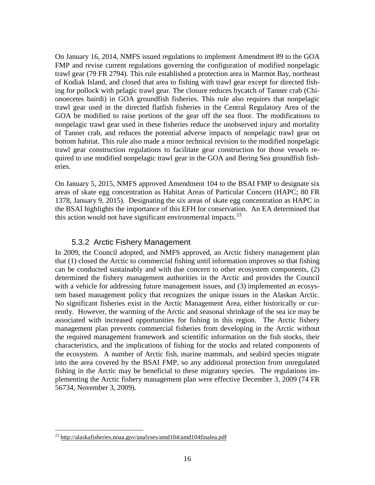<span id="page-17-0"></span> On January 16, 2014, NMFS issued regulations to implement Amendment 89 to the GOA trawl gear used in the directed flatfish fisheries in the Central Regulatory Area of the GOA be modified to raise portions of the gear off the sea floor. The modifications to of Tanner crab, and reduces the potential adverse impacts of nonpelagic trawl gear on eries. FMP and revise current regulations governing the configuration of modified nonpelagic trawl gear (79 FR 2794). This rule established a protection area in Marmot Bay, northeast of Kodiak Island, and closed that area to fishing with trawl gear except for directed fishing for pollock with pelagic trawl gear. The closure reduces bycatch of Tanner crab (Chionoecetes bairdi) in GOA groundfish fisheries. This rule also requires that nonpelagic nonpelagic trawl gear used in these fisheries reduce the unobserved injury and mortality bottom habitat. This rule also made a minor technical revision to the modified nonpelagic trawl gear construction regulations to facilitate gear construction for those vessels required to use modified nonpelagic trawl gear in the GOA and Bering Sea groundfish fish-

 1378, January 9, 2015). Designating the six areas of skate egg concentration as HAPC in the BSAI highlights the importance of this EFH for conservation. An EA determined that On January 5, 2015, NMFS approved Amendment 104 to the BSAI FMP to designate six areas of skate egg concentration as Habitat Areas of Particular Concern (HAPC; 80 FR this action would not have significant environmental impacts. $^{23}$ 

#### 5.3.2 Arctic Fishery Management

 the ecosystem. A number of Arctic fish, marine mammals, and seabird species migrate into the area covered by the BSAI FMP, so any additional protection from unregulated fishing in the Arctic may be beneficial to these migratory species. The regulations im-56734, November 3, 2009). In 2009, the Council adopted, and NMFS approved, an Arctic fishery management plan that (1) closed the Arctic to commercial fishing until information improves so that fishing can be conducted sustainably and with due concern to other ecosystem components, (2) determined the fishery management authorities in the Arctic and provides the Council with a vehicle for addressing future management issues, and (3) implemented an ecosystem based management policy that recognizes the unique issues in the Alaskan Arctic. No significant fisheries exist in the Arctic Management Area, either historically or currently. However, the warming of the Arctic and seasonal shrinkage of the sea ice may be associated with increased opportunities for fishing in this region. The Arctic fishery management plan prevents commercial fisheries from developing in the Arctic without the required management framework and scientific information on the fish stocks, their characteristics, and the implications of fishing for the stocks and related components of plementing the Arctic fishery management plan were effective December 3, 2009 (74 FR

 $\overline{a}$ 

<span id="page-17-1"></span> $^{23}$  http://alaskafisheries.noaa.gov/analyses/amd104/amd104finalea.pdf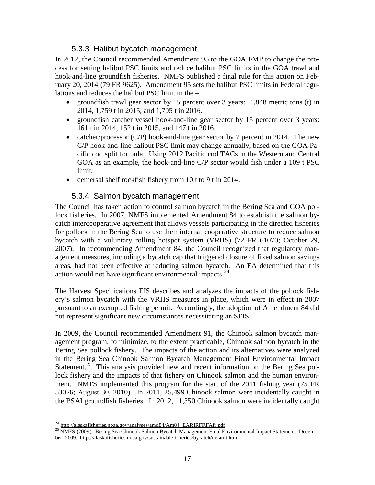#### 5.3.3 Halibut bycatch management

<span id="page-18-0"></span> hook-and-line groundfish fisheries. NMFS published a final rule for this action on Feb- ruary 20, 2014 (79 FR 9625). Amendment 95 sets the halibut PSC limits in Federal regu- lations and reduces the halibut PSC limit in the – In 2012, the Council recommended Amendment 95 to the GOA FMP to change the process for setting halibut PSC limits and reduce halibut PSC limits in the GOA trawl and

- groundfish trawl gear sector by 15 percent over 3 years: 1,848 metric tons (t) in 2014, 1,759 t in 2015, and 1,705 t in 2016.
- • groundfish catcher vessel hook-and-line gear sector by 15 percent over 3 years: 161 t in 2014, 152 t in 2015, and 147 t in 2016.
- catcher/processor (C/P) hook-and-line gear sector by 7 percent in 2014. The new C/P hook-and-line halibut PSC limit may change annually, based on the GOA Pa- limit. cific cod split formula. Using 2012 Pacific cod TACs in the Western and Central GOA as an example, the hook-and-line C/P sector would fish under a 109 t PSC
- demersal shelf rockfish fishery from 10 t to 9 t in 2014.

#### 5.3.4 Salmon bycatch management

 The Council has taken action to control salmon bycatch in the Bering Sea and GOA pol- lock fisheries. In 2007, NMFS implemented Amendment 84 to establish the salmon by- bycatch with a voluntary rolling hotspot system (VRHS) (72 FR 61070; October 29, agement measures, including a bycatch cap that triggered closure of fixed salmon savings areas, had not been effective at reducing salmon bycatch. An EA determined that this catch intercooperative agreement that allows vessels participating in the directed fisheries for pollock in the Bering Sea to use their internal cooperative structure to reduce salmon 2007). In recommending Amendment 84, the Council recognized that regulatory manaction would not have significant environmental impacts. $^{24}$  $^{24}$  $^{24}$ 

 The Harvest Specifications EIS describes and analyzes the impacts of the pollock fish- ery's salmon bycatch with the VRHS measures in place, which were in effect in 2007 pursuant to an exempted fishing permit. Accordingly, the adoption of Amendment 84 did not represent significant new circumstances necessitating an SEIS.

Statement.<sup>25</sup> This analysis provided new and recent information on the Bering Sea pol- the BSAI groundfish fisheries. In 2012, 11,350 Chinook salmon were incidentally caught In 2009, the Council recommended Amendment 91, the Chinook salmon bycatch management program, to minimize, to the extent practicable, Chinook salmon bycatch in the Bering Sea pollock fishery. The impacts of the action and its alternatives were analyzed in the Bering Sea Chinook Salmon Bycatch Management Final Environmental Impact lock fishery and the impacts of that fishery on Chinook salmon and the human environment. NMFS implemented this program for the start of the 2011 fishing year (75 FR 53026; August 30, 2010). In 2011, 25,499 Chinook salmon were incidentally caught in

<span id="page-18-1"></span> $^{24}$  http://alaskafisheries.noaa.gov/analyses/amd84/Am84\_EARIRFRFAfr.pdf

<span id="page-18-2"></span> ber, 2009. http://alaskafisheries.noaa.gov/sustainablefisheries/bycatch/default.htm. <sup>25</sup> NMFS (2009). Bering Sea Chinook Salmon Bycatch Management Final Environmental Impact Statement. Decem-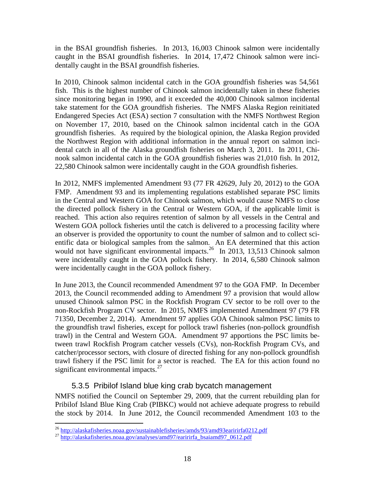<span id="page-19-0"></span> in the BSAI groundfish fisheries. In 2013, 16,003 Chinook salmon were incidentally caught in the BSAI groundfish fisheries. In 2014, 17,472 Chinook salmon were incidentally caught in the BSAI groundfish fisheries.

 take statement for the GOA groundfish fisheries. The NMFS Alaska Region reinitiated dental catch in all of the Alaska groundfish fisheries on March 3, 2011. In 2011, Chi- nook salmon incidental catch in the GOA groundfish fisheries was 21,010 fish. In 2012, 22,580 Chinook salmon were incidentally caught in the GOA groundfish fisheries. In 2010, Chinook salmon incidental catch in the GOA groundfish fisheries was 54,561 fish. This is the highest number of Chinook salmon incidentally taken in these fisheries since monitoring began in 1990, and it exceeded the 40,000 Chinook salmon incidental Endangered Species Act (ESA) section 7 consultation with the NMFS Northwest Region on November 17, 2010, based on the Chinook salmon incidental catch in the GOA groundfish fisheries. As required by the biological opinion, the Alaska Region provided the Northwest Region with additional information in the annual report on salmon inci-

 Western GOA pollock fisheries until the catch is delivered to a processing facility where would not have significant environmental impacts.<sup>[26](#page-19-1)</sup> In 2013, 13,513 Chinook salmon were incidentally caught in the GOA pollock fishery. In 2014, 6,580 Chinook salmon were incidentally caught in the GOA pollock fishery. In 2012, NMFS implemented Amendment 93 (77 FR 42629, July 20, 2012) to the GOA FMP. Amendment 93 and its implementing regulations established separate PSC limits in the Central and Western GOA for Chinook salmon, which would cause NMFS to close the directed pollock fishery in the Central or Western GOA, if the applicable limit is reached. This action also requires retention of salmon by all vessels in the Central and an observer is provided the opportunity to count the number of salmon and to collect scientific data or biological samples from the salmon. An EA determined that this action

 In June 2013, the Council recommended Amendment 97 to the GOA FMP. In December 2013, the Council recommended adding to Amendment 97 a provision that would allow unused Chinook salmon PSC in the Rockfish Program CV sector to be roll over to the non-Rockfish Program CV sector. In 2015, NMFS implemented Amendment 97 (79 FR 71350, December 2, 2014). Amendment 97 applies GOA Chinook salmon PSC limits to the groundfish trawl fisheries, except for pollock trawl fisheries (non-pollock groundfish trawl) in the Central and Western GOA. Amendment 97 apportions the PSC limits between trawl Rockfish Program catcher vessels (CVs), non-Rockfish Program CVs, and catcher/processor sectors, with closure of directed fishing for any non-pollock groundfish trawl fishery if the PSC limit for a sector is reached. The EA for this action found no significant environmental impacts. $27$ 

# 5.3.5 Pribilof Island blue king crab bycatch management

NMFS notified the Council on September 29, 2009, that the current rebuilding plan for Pribilof Island Blue King Crab (PIBKC) would not achieve adequate progress to rebuild the stock by 2014. In June 2012, the Council recommended Amendment 103 to the

<span id="page-19-1"></span><sup>&</sup>lt;sup>26</sup> http://alaskafisheries.noaa.gov/sustainablefisheries/amds/93/amd93earirirfa0212.pdf

<span id="page-19-2"></span> $^{27}$  http://alaskafisheries.noaa.gov/analyses/amd97/earirirfa\_bsaiamd97\_0612.pdf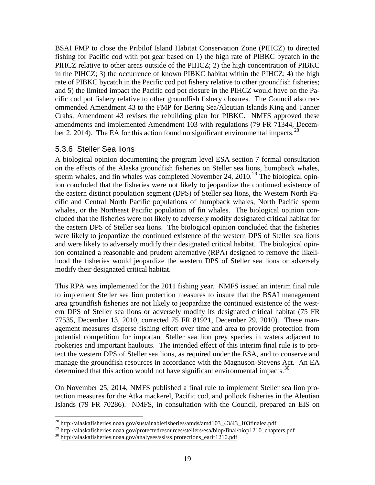<span id="page-20-0"></span>BSAI FMP to close the Pribilof Island Habitat Conservation Zone (PIHCZ) to directed fishing for Pacific cod with pot gear based on 1) the high rate of PIBKC bycatch in the PIHCZ relative to other areas outside of the PIHCZ; 2) the high concentration of PIBKC in the PIHCZ; 3) the occurrence of known PIBKC habitat within the PIHCZ; 4) the high rate of PIBKC bycatch in the Pacific cod pot fishery relative to other groundfish fisheries; and 5) the limited impact the Pacific cod pot closure in the PIHCZ would have on the Pacific cod pot fishery relative to other groundfish fishery closures. The Council also recommended Amendment 43 to the FMP for Bering Sea/Aleutian Islands King and Tanner Crabs. Amendment 43 revises the rebuilding plan for PIBKC. NMFS approved these amendments and implemented Amendment 103 with regulations (79 FR 71344, December 2, 2014). The EA for this action found no significant environmental impacts.<sup>28</sup>

#### 5.3.6 Steller Sea lions

modify their designated critical habitat. A biological opinion documenting the program level ESA section 7 formal consultation on the effects of the Alaska groundfish fisheries on Steller sea lions, humpback whales, sperm whales, and fin whales was completed November 24, 2010.<sup>[29](#page-20-2)</sup> The biological opinion concluded that the fisheries were not likely to jeopardize the continued existence of the eastern distinct population segment (DPS) of Steller sea lions, the Western North Pacific and Central North Pacific populations of humpback whales, North Pacific sperm whales, or the Northeast Pacific population of fin whales. The biological opinion concluded that the fisheries were not likely to adversely modify designated critical habitat for the eastern DPS of Steller sea lions. The biological opinion concluded that the fisheries were likely to jeopardize the continued existence of the western DPS of Steller sea lions and were likely to adversely modify their designated critical habitat. The biological opinion contained a reasonable and prudent alternative (RPA) designed to remove the likelihood the fisheries would jeopardize the western DPS of Steller sea lions or adversely

 manage the groundfish resources in accordance with the Magnuson-Stevens Act. An EA determined that this action would not have significant environmental impacts.<sup>30</sup> This RPA was implemented for the 2011 fishing year. NMFS issued an interim final rule to implement Steller sea lion protection measures to insure that the BSAI management area groundfish fisheries are not likely to jeopardize the continued existence of the western DPS of Steller sea lions or adversely modify its designated critical habitat (75 FR 77535, December 13, 2010, corrected 75 FR 81921, December 29, 2010). These management measures disperse fishing effort over time and area to provide protection from potential competition for important Steller sea lion prey species in waters adjacent to rookeries and important haulouts. The intended effect of this interim final rule is to protect the western DPS of Steller sea lions, as required under the ESA, and to conserve and

On November 25, 2014, NMFS published a final rule to implement Steller sea lion protection measures for the Atka mackerel, Pacific cod, and pollock fisheries in the Aleutian Islands (79 FR 70286). NMFS, in consultation with the Council, prepared an EIS on

 $\overline{a}$ <sup>28</sup> http://alaskafisheries.noaa.gov/sustainablefisheries/amds/amd103\_43/43\_103finalea.pdf

<span id="page-20-3"></span><span id="page-20-2"></span><span id="page-20-1"></span><sup>29</sup> http://alaskafisheries.noaa.gov/protectedresources/stellers/esa/biop/final/biop1210\_chapters.pdf<br>30 http://alaskafisheries.noaa.gov/analyses/ssl/sslprotections\_earir1210.pdf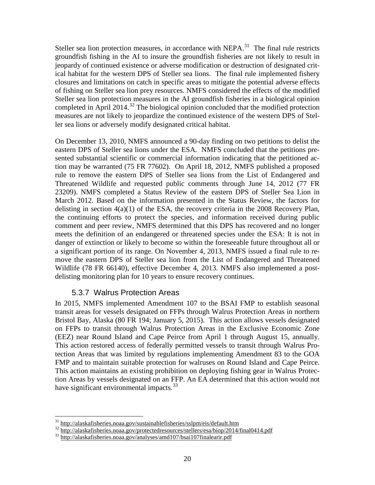<span id="page-21-0"></span>Steller sea lion protection measures, in accordance with NEPA.<sup>[31](#page-21-1)</sup> The final rule restricts completed in April 2014.<sup>32</sup> The biological opinion concluded that the modified protection groundfish fishing in the AI to insure the groundfish fisheries are not likely to result in jeopardy of continued existence or adverse modification or destruction of designated critical habitat for the western DPS of Steller sea lions. The final rule implemented fishery closures and limitations on catch in specific areas to mitigate the potential adverse effects of fishing on Steller sea lion prey resources. NMFS considered the effects of the modified Steller sea lion protection measures in the AI groundfish fisheries in a biological opinion measures are not likely to jeopardize the continued existence of the western DPS of Steller sea lions or adversely modify designated critical habitat.

On December 13, 2010, NMFS announced a 90-day finding on two petitions to delist the eastern DPS of Steller sea lions under the ESA. NMFS concluded that the petitions presented substantial scientific or commercial information indicating that the petitioned action may be warranted (75 FR 77602). On April 18, 2012, NMFS published a proposed rule to remove the eastern DPS of Steller sea lions from the List of Endangered and Threatened Wildlife and requested public comments through June 14, 2012 (77 FR 23209). NMFS completed a Status Review of the eastern DPS of Steller Sea Lion in March 2012. Based on the information presented in the Status Review, the factors for delisting in section 4(a)(1) of the ESA, the recovery criteria in the 2008 Recovery Plan, the continuing efforts to protect the species, and information received during public comment and peer review, NMFS determined that this DPS has recovered and no longer meets the definition of an endangered or threatened species under the ESA: It is not in danger of extinction or likely to become so within the foreseeable future throughout all or a significant portion of its range. On November 4, 2013, NMFS issued a final rule to remove the eastern DPS of Steller sea lion from the List of Endangered and Threatened Wildlife (78 FR 66140), effective December 4, 2013. NMFS also implemented a postdelisting monitoring plan for 10 years to ensure recovery continues.

#### 5.3.7 Walrus Protection Areas

 on FFPs to transit through Walrus Protection Areas in the Exclusive Economic Zone (EEZ) near Round Island and Cape Peirce from April 1 through August 15, annually. In 2015, NMFS implemented Amendment 107 to the BSAI FMP to establish seasonal transit areas for vessels designated on FFPs through Walrus Protection Areas in northern Bristol Bay, Alaska (80 FR 194; January 5, 2015). This action allows vessels designated This action restored access of federally permitted vessels to transit through Walrus Protection Areas that was limited by regulations implementing Amendment 83 to the GOA FMP and to maintain suitable protection for walruses on Round Island and Cape Peirce. This action maintains an existing prohibition on deploying fishing gear in Walrus Protection Areas by vessels designated on an FFP. An EA determined that this action would not have significant environmental impacts.<sup>33</sup>

 $31$  http://alaskafisheries.noaa.gov/sustainablefisheries/sslpm/eis/default.htm

<span id="page-21-2"></span><span id="page-21-1"></span><sup>32&</sup>lt;br>http://alaskafisheries.noaa.gov/protectedresources/stellers/esa/biop/2014/final0414.pdf<br>33 http://alaskafisheries.noaa.gov/analyses/amd107/bsai107finalearir.pdf

<span id="page-21-3"></span>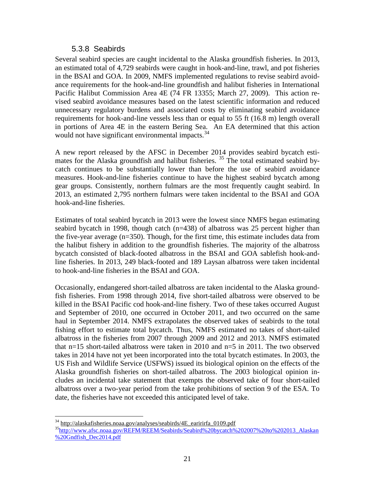#### 5.3.8 Seabirds

<span id="page-22-0"></span> an estimated total of 4,729 seabirds were caught in hook-and-line, trawl, and pot fisheries in the BSAI and GOA. In 2009, NMFS implemented regulations to revise seabird avoid- vised seabird avoidance measures based on the latest scientific information and reduced Several seabird species are caught incidental to the Alaska groundfish fisheries. In 2013, ance requirements for the hook-and-line groundfish and halibut fisheries in International Pacific Halibut Commission Area 4E (74 FR 13355; March 27, 2009). This action reunnecessary regulatory burdens and associated costs by eliminating seabird avoidance requirements for hook-and-line vessels less than or equal to 55 ft (16.8 m) length overall in portions of Area 4E in the eastern Bering Sea. An EA determined that this action would not have significant environmental impacts.<sup>34</sup>

mates for the Alaska groundfish and halibut fisheries.<sup>[35](#page-22-2)</sup> The total estimated seabird by-A new report released by the AFSC in December 2014 provides seabird bycatch esticatch continues to be substantially lower than before the use of seabird avoidance measures. Hook-and-line fisheries continue to have the highest seabird bycatch among gear groups. Consistently, northern fulmars are the most frequently caught seabird. In 2013, an estimated 2,795 northern fulmars were taken incidental to the BSAI and GOA hook-and-line fisheries.

 Estimates of total seabird bycatch in 2013 were the lowest since NMFS began estimating seabird bycatch in 1998, though catch (n=438) of albatross was 25 percent higher than the five-year average (n=350). Though, for the first time, this estimate includes data from the halibut fishery in addition to the groundfish fisheries. The majority of the albatross bycatch consisted of black-footed albatross in the BSAI and GOA sablefish hook-andline fisheries. In 2013, 249 black-footed and 189 Laysan albatross were taken incidental to hook-and-line fisheries in the BSAI and GOA.

 Occasionally, endangered short-tailed albatross are taken incidental to the Alaska groundfish fisheries. From 1998 through 2014, five short-tailed albatross were observed to be killed in the BSAI Pacific cod hook-and-line fishery. Two of these takes occurred August and September of 2010, one occurred in October 2011, and two occurred on the same haul in September 2014. NMFS extrapolates the observed takes of seabirds to the total fishing effort to estimate total bycatch. Thus, NMFS estimated no takes of short-tailed albatross in the fisheries from 2007 through 2009 and 2012 and 2013. NMFS estimated that n=15 short-tailed albatross were taken in 2010 and n=5 in 2011. The two observed takes in 2014 have not yet been incorporated into the total bycatch estimates. In 2003, the US Fish and Wildlife Service (USFWS) issued its biological opinion on the effects of the Alaska groundfish fisheries on short-tailed albatross. The 2003 biological opinion includes an incidental take statement that exempts the observed take of four short-tailed albatross over a two-year period from the take prohibitions of section 9 of the ESA. To date, the fisheries have not exceeded this anticipated level of take.

<span id="page-22-1"></span><sup>&</sup>lt;sup>34</sup> http://alaskafisheries.noaa.gov/analyses/seabirds/4E\_earirirfa\_0109.pdf

<span id="page-22-2"></span> $^{35}$ http://www.afsc.noaa.gov/REFM/REEM/Seabirds/Seabird%20bycatch%202007%20to%202013\_Alaskan %20Gndfish\_Dec2014.pdf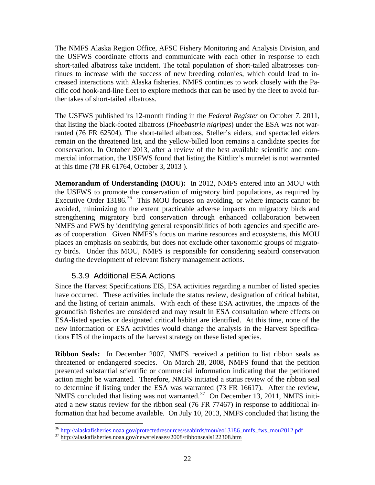<span id="page-23-0"></span> the USFWS coordinate efforts and communicate with each other in response to each creased interactions with Alaska fisheries. NMFS continues to work closely with the Pa- cific cod hook-and-line fleet to explore methods that can be used by the fleet to avoid fur-The NMFS Alaska Region Office, AFSC Fishery Monitoring and Analysis Division, and short-tailed albatross take incident. The total population of short-tailed albatrosses continues to increase with the success of new breeding colonies, which could lead to inther takes of short-tailed albatross.

 ranted (76 FR 62504). The short-tailed albatross, Steller's eiders, and spectacled eiders at this time (78 FR 61764, October 3, 2013 ). The USFWS published its 12-month finding in the *Federal Register* on October 7, 2011, that listing the black-footed albatross (*Phoebastria nigripes*) under the ESA was not warremain on the threatened list, and the yellow-billed loon remains a candidate species for conservation. In October 2013, after a review of the best available scientific and commercial information, the USFWS found that listing the Kittlitz's murrelet is not warranted

 **Memorandum of Understanding (MOU):** In 2012, NMFS entered into an MOU with Executive Order  $13186$ .<sup>36</sup> This MOU focuses on avoiding, or where impacts cannot be the USFWS to promote the conservation of migratory bird populations, as required by avoided, minimizing to the extent practicable adverse impacts on migratory birds and strengthening migratory bird conservation through enhanced collaboration between NMFS and FWS by identifying general responsibilities of both agencies and specific areas of cooperation. Given NMFS's focus on marine resources and ecosystems, this MOU places an emphasis on seabirds, but does not exclude other taxonomic groups of migratory birds. Under this MOU, NMFS is responsible for considering seabird conservation during the development of relevant fishery management actions.

# 5.3.9 Additional ESA Actions

 and the listing of certain animals. With each of these ESA activities, the impacts of the tions EIS of the impacts of the harvest strategy on these listed species. Since the Harvest Specifications EIS, ESA activities regarding a number of listed species have occurred. These activities include the status review, designation of critical habitat, groundfish fisheries are considered and may result in ESA consultation where effects on ESA-listed species or designated critical habitat are identified. At this time, none of the new information or ESA activities would change the analysis in the Harvest Specifica-

**Ribbon Seals:** In December 2007, NMFS received a petition to list ribbon seals as NMFS concluded that listing was not warranted. $37$  On December 13, 2011, NMFS initi- formation that had become available. On July 10, 2013, NMFS concluded that listing the threatened or endangered species. On March 28, 2008, NMFS found that the petition presented substantial scientific or commercial information indicating that the petitioned action might be warranted. Therefore, NMFS initiated a status review of the ribbon seal to determine if listing under the ESA was warranted (73 FR 16617). After the review, ated a new status review for the ribbon seal (76 FR 77467) in response to additional in-

<sup>-</sup><sup>36</sup> http://alaskafisheries.noaa.gov/protectedresources/seabirds/mou/eo13186\_nmfs\_fws\_mou2012.pdf<br><sup>37</sup> http://alaskafisheries.noaa.gov/newsreleases/2008/ribbonseals122308.htm

<span id="page-23-2"></span><span id="page-23-1"></span>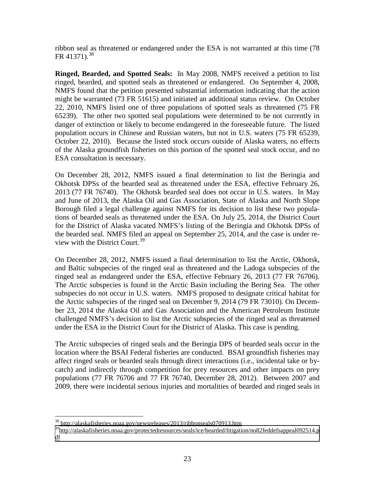ribbon seal as threatened or endangered under the ESA is not warranted at this time (78 FR 41371).<sup>[38](#page-24-0)</sup>

 **Ringed, Bearded, and Spotted Seals:** In May 2008, NMFS received a petition to list ringed, bearded, and spotted seals as threatened or endangered. On September 4, 2008, NMFS found that the petition presented substantial information indicating that the action might be warranted (73 FR 51615) and initiated an additional status review. On October 22, 2010, NMFS listed one of three populations of spotted seals as threatened (75 FR 65239). The other two spotted seal populations were determined to be not currently in danger of extinction or likely to become endangered in the foreseeable future. The listed population occurs in Chinese and Russian waters, but not in U.S. waters (75 FR 65239, October 22, 2010). Because the listed stock occurs outside of Alaska waters, no effects of the Alaska groundfish fisheries on this portion of the spotted seal stock occur, and no ESA consultation is necessary.

On December 28, 2012, NMFS issued a final determination to list the Beringia and Okhotsk DPSs of the bearded seal as threatened under the ESA, effective February 26, 2013 (77 FR 76740). The Okhotsk bearded seal does not occur in U.S. waters. In May and June of 2013, the Alaska Oil and Gas Association, State of Alaska and North Slope Borough filed a legal challenge against NMFS for its decision to list these two populations of bearded seals as threatened under the ESA. On July 25, 2014, the District Court for the District of Alaska vacated NMFS's listing of the Beringia and Okhotsk DPSs of the bearded seal. NMFS filed an appeal on September 25, 2014, and the case is under re-view with the District Court.<sup>[39](#page-24-1)</sup>

ringed seal as endangered under the ESA, effective February 26, 2013 (77 FR 76706). subspecies do not occur in U.S. waters. NMFS proposed to designate critical habitat for ber 23, 2014 the Alaska Oil and Gas Association and the American Petroleum Institute under the ESA in the District Court for the District of Alaska. This case is pending. On December 28, 2012, NMFS issued a final determination to list the Arctic, Okhotsk, and Baltic subspecies of the ringed seal as threatened and the Ladoga subspecies of the The Arctic subspecies is found in the Arctic Basin including the Bering Sea. The other the Arctic subspecies of the ringed seal on December 9, 2014 (79 FR 73010). On Decemchallenged NMFS's decision to list the Arctic subspecies of the ringed seal as threatened

The Arctic subspecies of ringed seals and the Beringia DPS of bearded seals occur in the location where the BSAI Federal fisheries are conducted. BSAI groundfish fisheries may affect ringed seals or bearded seals through direct interactions (i.e., incidental take or bycatch) and indirectly through competition for prey resources and other impacts on prey populations (77 FR 76706 and 77 FR 76740, December 28, 2012). Between 2007 and 2009, there were incidental serious injuries and mortalities of bearded and ringed seals in

<sup>&</sup>lt;u>.</u> <sup>38</sup>http://alaskafisheries.noaa.gov/newsreleases/2013/ribbonseals070913.htm

<span id="page-24-1"></span><span id="page-24-0"></span><sup>&</sup>lt;sup>39</sup>http://alaskafisheries.noaa.gov/protectedresources/seals/ice/bearded/litigation/no82feddefsappeal092514.p df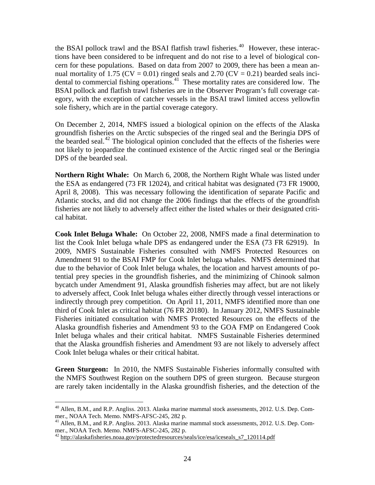the BSAI pollock trawl and the BSAI flatfish trawl fisheries.<sup>[40](#page-25-0)</sup> However, these interac- tions have been considered to be infrequent and do not rise to a level of biological con- cern for these populations. Based on data from 2007 to 2009, there has been a mean andental to commercial fishing operations. $41$  These mortality rates are considered low. The nual mortality of 1.75 ( $CV = 0.01$ ) ringed seals and 2.70 ( $CV = 0.21$ ) bearded seals inci-BSAI pollock and flatfish trawl fisheries are in the Observer Program's full coverage category, with the exception of catcher vessels in the BSAI trawl limited access yellowfin sole fishery, which are in the partial coverage category.

On December 2, 2014, NMFS issued a biological opinion on the effects of the Alaska groundfish fisheries on the Arctic subspecies of the ringed seal and the Beringia DPS of the bearded seal.<sup>42</sup> The biological opinion concluded that the effects of the fisheries were not likely to jeopardize the continued existence of the Arctic ringed seal or the Beringia DPS of the bearded seal.

 **Northern Right Whale:** On March 6, 2008, the Northern Right Whale was listed under Atlantic stocks, and did not change the 2006 findings that the effects of the groundfish cal habitat. the ESA as endangered (73 FR 12024), and critical habitat was designated (73 FR 19000, April 8, 2008). This was necessary following the identification of separate Pacific and fisheries are not likely to adversely affect either the listed whales or their designated criti-

 **Cook Inlet Beluga Whale:** On October 22, 2008, NMFS made a final determination to list the Cook Inlet beluga whale DPS as endangered under the ESA (73 FR 62919). In 2009, NMFS Sustainable Fisheries consulted with NMFS Protected Resources on to adversely affect, Cook Inlet beluga whales either directly through vessel interactions or indirectly through prey competition. On April 11, 2011, NMFS identified more than one third of Cook Inlet as critical habitat (76 FR 20180). In January 2012, NMFS Sustainable Fisheries initiated consultation with NMFS Protected Resources on the effects of the Amendment 91 to the BSAI FMP for Cook Inlet beluga whales. NMFS determined that due to the behavior of Cook Inlet beluga whales, the location and harvest amounts of potential prey species in the groundfish fisheries, and the minimizing of Chinook salmon bycatch under Amendment 91, Alaska groundfish fisheries may affect, but are not likely Alaska groundfish fisheries and Amendment 93 to the GOA FMP on Endangered Cook Inlet beluga whales and their critical habitat. NMFS Sustainable Fisheries determined that the Alaska groundfish fisheries and Amendment 93 are not likely to adversely affect Cook Inlet beluga whales or their critical habitat.

 **Green Sturgeon:** In 2010, the NMFS Sustainable Fisheries informally consulted with the NMFS Southwest Region on the southern DPS of green sturgeon. Because sturgeon are rarely taken incidentally in the Alaska groundfish fisheries, and the detection of the

<sup>-</sup><sup>40</sup> Allen, B.M., and R.P. Angliss. 2013. Alaska marine mammal stock assessments, 2012. U.S. Dep. Com-

<span id="page-25-1"></span><span id="page-25-0"></span>mer., NOAA Tech. Memo. NMFS-AFSC-245, 282 p.<br><sup>41</sup> Allen, B.M., and R.P. Angliss. 2013. Alaska marine mammal stock assessments, 2012. U.S. Dep. Commer., NOAA Tech. Memo. NMFS-AFSC-245, 282 p.<br><sup>42</sup> http://alaskafisheries.noaa.gov/protectedresources/seals/ice/esa/iceseals\_s7\_120114.pdf

<span id="page-25-2"></span>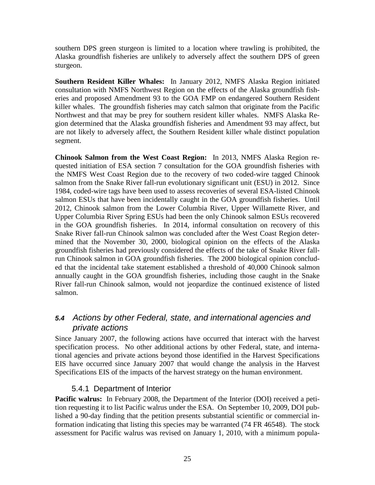<span id="page-26-0"></span>southern DPS green sturgeon is limited to a location where trawling is prohibited, the Alaska groundfish fisheries are unlikely to adversely affect the southern DPS of green sturgeon.

 **Southern Resident Killer Whales:** In January 2012, NMFS Alaska Region initiated killer whales. The groundfish fisheries may catch salmon that originate from the Pacific gion determined that the Alaska groundfish fisheries and Amendment 93 may affect, but consultation with NMFS Northwest Region on the effects of the Alaska groundfish fisheries and proposed Amendment 93 to the GOA FMP on endangered Southern Resident Northwest and that may be prey for southern resident killer whales. NMFS Alaska Reare not likely to adversely affect, the Southern Resident killer whale distinct population segment.

 **Chinook Salmon from the West Coast Region:** In 2013, NMFS Alaska Region re- run Chinook salmon in GOA groundfish fisheries. The 2000 biological opinion conclud- annually caught in the GOA groundfish fisheries, including those caught in the Snake quested initiation of ESA section 7 consultation for the GOA groundfish fisheries with the NMFS West Coast Region due to the recovery of two coded-wire tagged Chinook salmon from the Snake River fall-run evolutionary significant unit (ESU) in 2012. Since 1984, coded-wire tags have been used to assess recoveries of several ESA-listed Chinook salmon ESUs that have been incidentally caught in the GOA groundfish fisheries. Until 2012, Chinook salmon from the Lower Columbia River, Upper Willamette River, and Upper Columbia River Spring ESUs had been the only Chinook salmon ESUs recovered in the GOA groundfish fisheries. In 2014, informal consultation on recovery of this Snake River fall-run Chinook salmon was concluded after the West Coast Region determined that the November 30, 2000, biological opinion on the effects of the Alaska groundfish fisheries had previously considered the effects of the take of Snake River falled that the incidental take statement established a threshold of 40,000 Chinook salmon River fall-run Chinook salmon, would not jeopardize the continued existence of listed salmon.

# *5.4 Actions by other Federal, state, and international agencies and private actions*

 Since January 2007, the following actions have occurred that interact with the harvest specification process. No other additional actions by other Federal, state, and international agencies and private actions beyond those identified in the Harvest Specifications EIS have occurred since January 2007 that would change the analysis in the Harvest Specifications EIS of the impacts of the harvest strategy on the human environment.

# 5.4.1 Department of Interior

Pacific walrus: In February 2008, the Department of the Interior (DOI) received a petition requesting it to list Pacific walrus under the ESA. On September 10, 2009, DOI published a 90-day finding that the petition presents substantial scientific or commercial information indicating that listing this species may be warranted (74 FR 46548). The stock assessment for Pacific walrus was revised on January 1, 2010, with a minimum popula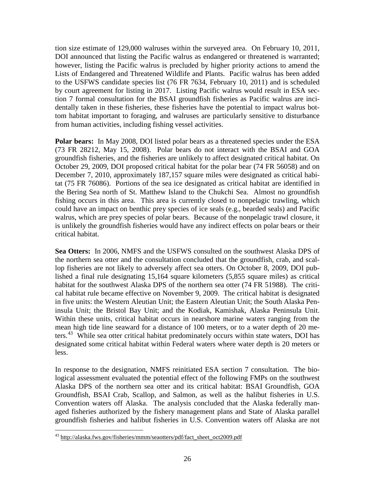Lists of Endangered and Threatened Wildlife and Plants. Pacific walrus has been added by court agreement for listing in 2017. Listing Pacific walrus would result in ESA sec- from human activities, including fishing vessel activities. tion size estimate of 129,000 walruses within the surveyed area. On February 10, 2011, DOI announced that listing the Pacific walrus as endangered or threatened is warranted; however, listing the Pacific walrus is precluded by higher priority actions to amend the to the USFWS candidate species list (76 FR 7634, February 10, 2011) and is scheduled tion 7 formal consultation for the BSAI groundfish fisheries as Pacific walrus are incidentally taken in these fisheries, these fisheries have the potential to impact walrus bottom habitat important to foraging, and walruses are particularly sensitive to disturbance

Polar bears: In May 2008, DOI listed polar bears as a threatened species under the ESA (73 FR 28212, May 15, 2008). Polar bears do not interact with the BSAI and GOA groundfish fisheries, and the fisheries are unlikely to affect designated critical habitat. On October 29, 2009, DOI proposed critical habitat for the polar bear (74 FR 56058) and on December 7, 2010, approximately 187,157 square miles were designated as critical habitat (75 FR 76086). Portions of the sea ice designated as critical habitat are identified in the Bering Sea north of St. Matthew Island to the Chukchi Sea. Almost no groundfish fishing occurs in this area. This area is currently closed to nonpelagic trawling, which could have an impact on benthic prey species of ice seals (e.g., bearded seals) and Pacific walrus, which are prey species of polar bears. Because of the nonpelagic trawl closure, it is unlikely the groundfish fisheries would have any indirect effects on polar bears or their critical habitat.

Sea Otters: In 2006, NMFS and the USFWS consulted on the southwest Alaska DPS of lop fisheries are not likely to adversely affect sea otters. On October 8, 2009, DOI pub- insula Unit; the Bristol Bay Unit; and the Kodiak, Kamishak, Alaska Peninsula Unit. ters.<sup>[43](#page-27-0)</sup> While sea otter critical habitat predominately occurs within state waters, DOI has less. the northern sea otter and the consultation concluded that the groundfish, crab, and scallished a final rule designating 15,164 square kilometers (5,855 square miles) as critical habitat for the southwest Alaska DPS of the northern sea otter (74 FR 51988). The critical habitat rule became effective on November 9, 2009. The critical habitat is designated in five units: the Western Aleutian Unit; the Eastern Aleutian Unit; the South Alaska Pen-Within these units, critical habitat occurs in nearshore marine waters ranging from the mean high tide line seaward for a distance of 100 meters, or to a water depth of 20 medesignated some critical habitat within Federal waters where water depth is 20 meters or

In response to the designation, NMFS reinitiated ESA section 7 consultation. The biological assessment evaluated the potential effect of the following FMPs on the southwest Alaska DPS of the northern sea otter and its critical habitat: BSAI Groundfish, GOA Groundfish, BSAI Crab, Scallop, and Salmon, as well as the halibut fisheries in U.S. Convention waters off Alaska. The analysis concluded that the Alaska federally managed fisheries authorized by the fishery management plans and State of Alaska parallel groundfish fisheries and halibut fisheries in U.S. Convention waters off Alaska are not

 $\overline{a}$ 

<span id="page-27-0"></span><sup>43</sup> http://alaska.fws.gov/fisheries/mmm/seaotters/pdf/fact\_sheet\_oct2009.pdf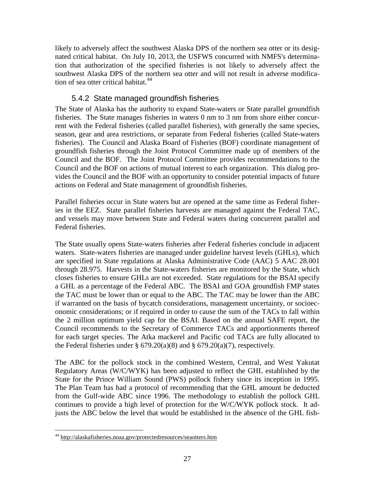<span id="page-28-0"></span> tion that authorization of the specified fisheries is not likely to adversely affect the likely to adversely affect the southwest Alaska DPS of the northern sea otter or its designated critical habitat. On July 10, 2013, the USFWS concurred with NMFS's determinasouthwest Alaska DPS of the northern sea otter and will not result in adverse modification of sea otter critical habitat.<sup>44</sup>

# 5.4.2 State managed groundfish fisheries

 season, gear and area restrictions, or separate from Federal fisheries (called State-waters The State of Alaska has the authority to expand State-waters or State parallel groundfish fisheries. The State manages fisheries in waters 0 nm to 3 nm from shore either concurrent with the Federal fisheries (called parallel fisheries), with generally the same species, fisheries). The Council and Alaska Board of Fisheries (BOF) coordinate management of groundfish fisheries through the Joint Protocol Committee made up of members of the Council and the BOF. The Joint Protocol Committee provides recommendations to the Council and the BOF on actions of mutual interest to each organization. This dialog provides the Council and the BOF with an opportunity to consider potential impacts of future actions on Federal and State management of groundfish fisheries.

Parallel fisheries occur in State waters but are opened at the same time as Federal fisheries in the EEZ. State parallel fisheries harvests are managed against the Federal TAC, and vessels may move between State and Federal waters during concurrent parallel and Federal fisheries.

 a GHL as a percentage of the Federal ABC. The BSAI and GOA groundfish FMP states for each target species. The Atka mackerel and Pacific cod TACs are fully allocated to the Federal fisheries under §  $679.20(a)(8)$  and §  $679.20(a)(7)$ , respectively. The State usually opens State-waters fisheries after Federal fisheries conclude in adjacent waters. State-waters fisheries are managed under guideline harvest levels (GHLs), which are specified in State regulations at Alaska Administrative Code (AAC) 5 AAC 28.001 through 28.975. Harvests in the State-waters fisheries are monitored by the State, which closes fisheries to ensure GHLs are not exceeded. State regulations for the BSAI specify the TAC must be lower than or equal to the ABC. The TAC may be lower than the ABC if warranted on the basis of bycatch considerations, management uncertainty, or socioeconomic considerations; or if required in order to cause the sum of the TACs to fall within the 2 million optimum yield cap for the BSAI. Based on the annual SAFE report, the Council recommends to the Secretary of Commerce TACs and apportionments thereof

 The Plan Team has had a protocol of recommending that the GHL amount be deducted The ABC for the pollock stock in the combined Western, Central, and West Yakutat Regulatory Areas (W/C/WYK) has been adjusted to reflect the GHL established by the State for the Prince William Sound (PWS) pollock fishery since its inception in 1995. from the Gulf-wide ABC since 1996. The methodology to establish the pollock GHL continues to provide a high level of protection for the W/C/WYK pollock stock. It adjusts the ABC below the level that would be established in the absence of the GHL fish-

<span id="page-28-1"></span> $\overline{a}$ 44 http://alaskafisheries.noaa.gov/protectedresources/seaotters.htm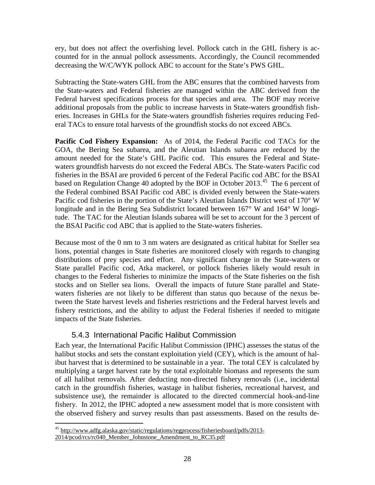<span id="page-29-0"></span> ery, but does not affect the overfishing level. Pollock catch in the GHL fishery is accounted for in the annual pollock assessments. Accordingly, the Council recommended decreasing the W/C/WYK pollock ABC to account for the State's PWS GHL.

 Federal harvest specifications process for that species and area. The BOF may receive Subtracting the State-waters GHL from the ABC ensures that the combined harvests from the State-waters and Federal fisheries are managed within the ABC derived from the additional proposals from the public to increase harvests in State-waters groundfish fisheries. Increases in GHLs for the State-waters groundfish fisheries requires reducing Federal TACs to ensure total harvests of the groundfish stocks do not exceed ABCs.

 **Pacific Cod Fishery Expansion:** As of 2014, the Federal Pacific cod TACs for the amount needed for the State's GHL Pacific cod. This ensures the Federal and Statebased on Regulation Change 40 adopted by the BOF in October 2013.<sup>45</sup> The 6 percent of longitude and in the Bering Sea Subdistrict located between 167° W and 164° W longithe BSAI Pacific cod ABC that is applied to the State-waters fisheries. GOA, the Bering Sea subarea, and the Aleutian Islands subarea are reduced by the waters groundfish harvests do not exceed the Federal ABCs. The State-waters Pacific cod fisheries in the BSAI are provided 6 percent of the Federal Pacific cod ABC for the BSAI the Federal combined BSAI Pacific cod ABC is divided evenly between the State-waters Pacific cod fisheries in the portion of the State's Aleutian Islands District west of 170° W tude. The TAC for the Aleutian Islands subarea will be set to account for the 3 percent of

 waters fisheries are not likely to be different than status quo because of the nexus be- tween the State harvest levels and fisheries restrictions and the Federal harvest levels and Because most of the  $0 \text{ nm}$  to  $3 \text{ nm}$  waters are designated as critical habitat for Steller sea lions, potential changes in State fisheries are monitored closely with regards to changing distributions of prey species and effort. Any significant change in the State-waters or State parallel Pacific cod, Atka mackerel, or pollock fisheries likely would result in changes to the Federal fisheries to minimize the impacts of the State fisheries on the fish stocks and on Steller sea lions. Overall the impacts of future State parallel and Statefishery restrictions, and the ability to adjust the Federal fisheries if needed to mitigate impacts of the State fisheries.

# 5.4.3 International Pacific Halibut Commission

 Each year, the International Pacific Halibut Commission (IPHC) assesses the status of the ibut harvest that is determined to be sustainable in a year. The total CEY is calculated by fishery. In 2012, the IPHC adopted a new assessment model that is more consistent with the observed fishery and survey results than past assessments. Based on the results dehalibut stocks and sets the constant exploitation yield (CEY), which is the amount of halmultiplying a target harvest rate by the total exploitable biomass and represents the sum of all halibut removals. After deducting non-directed fishery removals (i.e., incidental catch in the groundfish fisheries, wastage in halibut fisheries, recreational harvest, and subsistence use), the remainder is allocated to the directed commercial hook-and-line

 $\overline{a}$ <sup>45</sup> http://www.adfg.alaska.gov/static/regulations/regprocess/fisheriesboard/pdfs/2013-

<span id="page-29-1"></span><sup>2014/</sup>pcod/rcs/rc040\_Member\_Johnstone\_Amendment\_to\_RC35.pdf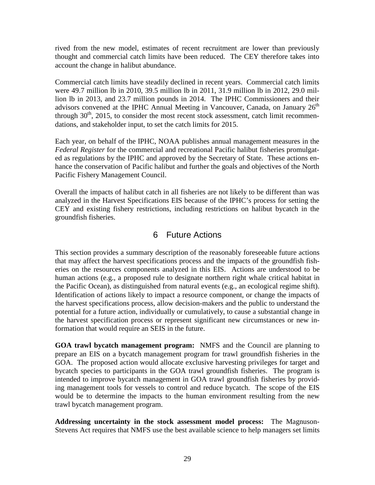<span id="page-30-0"></span> thought and commercial catch limits have been reduced. The CEY therefore takes into account the change in halibut abundance. rived from the new model, estimates of recent recruitment are lower than previously

 lion lb in 2013, and 23.7 million pounds in 2014. The IPHC Commissioners and their advisors convened at the IPHC Annual Meeting in Vancouver, Canada, on January  $26<sup>th</sup>$  dations, and stakeholder input, to set the catch limits for 2015. Commercial catch limits have steadily declined in recent years. Commercial catch limits were 49.7 million lb in 2010, 39.5 million lb in 2011, 31.9 million lb in 2012, 29.0 milthrough  $30<sup>th</sup>$ , 2015, to consider the most recent stock assessment, catch limit recommen-

 Each year, on behalf of the IPHC, NOAA publishes annual management measures in the *Federal Register* for the commercial and recreational Pacific halibut fisheries promulgated as regulations by the IPHC and approved by the Secretary of State. These actions enhance the conservation of Pacific halibut and further the goals and objectives of the North Pacific Fishery Management Council.

 CEY and existing fishery restrictions, including restrictions on halibut bycatch in the Overall the impacts of halibut catch in all fisheries are not likely to be different than was analyzed in the Harvest Specifications EIS because of the IPHC's process for setting the groundfish fisheries.

# 6 Future Actions

 Identification of actions likely to impact a resource component, or change the impacts of potential for a future action, individually or cumulatively, to cause a substantial change in formation that would require an SEIS in the future. This section provides a summary description of the reasonably foreseeable future actions that may affect the harvest specifications process and the impacts of the groundfish fisheries on the resources components analyzed in this EIS. Actions are understood to be human actions (e.g., a proposed rule to designate northern right whale critical habitat in the Pacific Ocean), as distinguished from natural events (e.g., an ecological regime shift). the harvest specifications process, allow decision-makers and the public to understand the the harvest specification process or represent significant new circumstances or new in-

 trawl bycatch management program. **GOA trawl bycatch management program:** NMFS and the Council are planning to prepare an EIS on a bycatch management program for trawl groundfish fisheries in the GOA. The proposed action would allocate exclusive harvesting privileges for target and bycatch species to participants in the GOA trawl groundfish fisheries. The program is intended to improve bycatch management in GOA trawl groundfish fisheries by providing management tools for vessels to control and reduce bycatch. The scope of the EIS would be to determine the impacts to the human environment resulting from the new

 Stevens Act requires that NMFS use the best available science to help managers set limits **Addressing uncertainty in the stock assessment model process:** The Magnuson-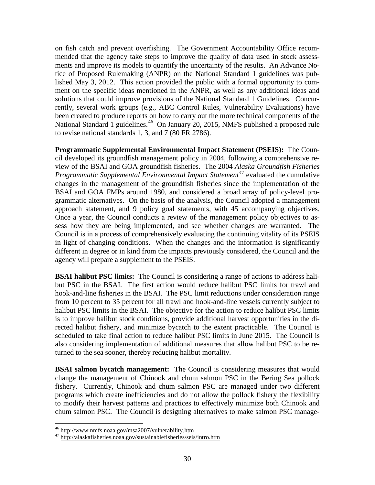ments and improve its models to quantify the uncertainty of the results. An Advance No- tice of Proposed Rulemaking (ANPR) on the National Standard 1 guidelines was pub-National Standard 1 guidelines.<sup>[46](#page-31-0)</sup> On January 20, 2015, NMFS published a proposed rule on fish catch and prevent overfishing. The Government Accountability Office recommended that the agency take steps to improve the quality of data used in stock assesslished May 3, 2012. This action provided the public with a formal opportunity to comment on the specific ideas mentioned in the ANPR, as well as any additional ideas and solutions that could improve provisions of the National Standard 1 Guidelines. Concurrently, several work groups (e.g., ABC Control Rules, Vulnerability Evaluations) have been created to produce reports on how to carry out the more technical components of the to revise national standards 1, 3, and 7 (80 FR 2786).

 **Programmatic Supplemental Environmental Impact Statement (PSEIS):** The Coun- view of the BSAI and GOA groundfish fisheries. The 2004 *Alaska Groundfish Fisheries*  sess how they are being implemented, and see whether changes are warranted. The Council is in a process of comprehensively evaluating the continuing vitality of its PSEIS in light of changing conditions. When the changes and the information is significantly cil developed its groundfish management policy in 2004, following a comprehensive re-*Programmatic Supplemental Environmental Impact Statement[47](#page-31-1)* evaluated the cumulative changes in the management of the groundfish fisheries since the implementation of the BSAI and GOA FMPs around 1980, and considered a broad array of policy-level programmatic alternatives. On the basis of the analysis, the Council adopted a management approach statement, and 9 policy goal statements, with 45 accompanying objectives. Once a year, the Council conducts a review of the management policy objectives to asdifferent in degree or in kind from the impacts previously considered, the Council and the agency will prepare a supplement to the PSEIS.

 **BSAI halibut PSC limits:** The Council is considering a range of actions to address hali- but PSC in the BSAI. The first action would reduce halibut PSC limits for trawl and halibut PSC limits in the BSAI. The objective for the action to reduce halibut PSC limits rected halibut fishery, and minimize bycatch to the extent practicable. The Council is turned to the sea sooner, thereby reducing halibut mortality. hook-and-line fisheries in the BSAI. The PSC limit reductions under consideration range from 10 percent to 35 percent for all trawl and hook-and-line vessels currently subject to is to improve halibut stock conditions, provide additional harvest opportunities in the discheduled to take final action to reduce halibut PSC limits in June 2015. The Council is also considering implementation of additional measures that allow halibut PSC to be re-

**BSAI salmon bycatch management:** The Council is considering measures that would change the management of Chinook and chum salmon PSC in the Bering Sea pollock fishery. Currently, Chinook and chum salmon PSC are managed under two different programs which create inefficiencies and do not allow the pollock fishery the flexibility to modify their harvest patterns and practices to effectively minimize both Chinook and chum salmon PSC. The Council is designing alternatives to make salmon PSC manage-

<span id="page-31-0"></span><sup>&</sup>lt;sup>46</sup> http://www.nmfs.noaa.gov/msa2007/vulnerability.htm

<span id="page-31-1"></span><sup>&</sup>lt;sup>47</sup> http://alaskafisheries.noaa.gov/sustainablefisheries/seis/intro.htm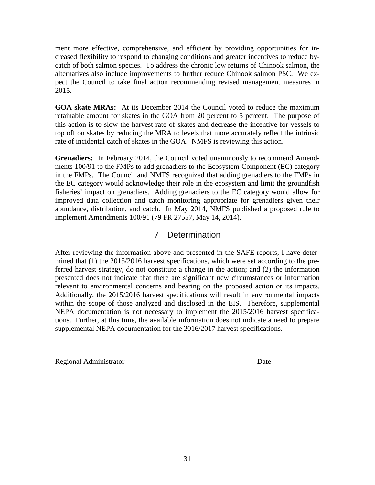<span id="page-32-0"></span>ment more effective, comprehensive, and efficient by providing opportunities for increased flexibility to respond to changing conditions and greater incentives to reduce bycatch of both salmon species. To address the chronic low returns of Chinook salmon, the alternatives also include improvements to further reduce Chinook salmon PSC. We expect the Council to take final action recommending revised management measures in 2015.

 **GOA skate MRAs:** At its December 2014 the Council voted to reduce the maximum retainable amount for skates in the GOA from 20 percent to 5 percent. The purpose of this action is to slow the harvest rate of skates and decrease the incentive for vessels to top off on skates by reducing the MRA to levels that more accurately reflect the intrinsic rate of incidental catch of skates in the GOA. NMFS is reviewing this action.

Grenadiers: In February 2014, the Council voted unanimously to recommend Amend- in the FMPs. The Council and NMFS recognized that adding grenadiers to the FMPs in fisheries' impact on grenadiers. Adding grenadiers to the EC category would allow for improved data collection and catch monitoring appropriate for grenadiers given their implement Amendments 100/91 (79 FR 27557, May 14, 2014). ments 100/91 to the FMPs to add grenadiers to the Ecosystem Component (EC) category the EC category would acknowledge their role in the ecosystem and limit the groundfish abundance, distribution, and catch. In May 2014, NMFS published a proposed rule to

# 7 Determination

relevant to environmental concerns and bearing on the proposed action or its impacts. After reviewing the information above and presented in the SAFE reports, I have determined that (1) the 2015/2016 harvest specifications, which were set according to the preferred harvest strategy, do not constitute a change in the action; and (2) the information presented does not indicate that there are significant new circumstances or information Additionally, the 2015/2016 harvest specifications will result in environmental impacts. within the scope of those analyzed and disclosed in the EIS. Therefore, supplemental NEPA documentation is not necessary to implement the 2015/2016 harvest specifications. Further, at this time, the available information does not indicate a need to prepare supplemental NEPA documentation for the 2016/2017 harvest specifications.

\_\_\_\_\_\_\_\_\_\_\_\_\_\_\_\_\_\_\_\_\_\_\_\_\_\_\_\_\_\_\_\_\_\_\_\_ \_\_\_\_\_\_\_\_\_\_\_\_\_\_\_\_\_\_

Regional Administrator Date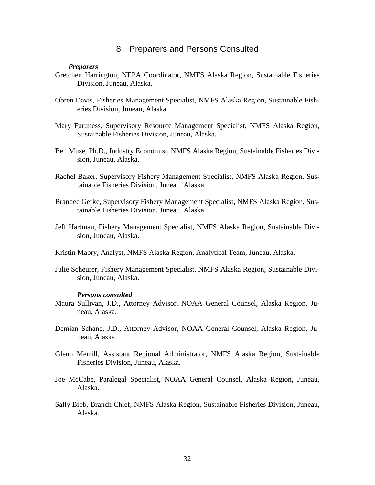#### 8 Preparers and Persons Consulted

#### *Preparers*

- <span id="page-33-0"></span> Gretchen Harrington, NEPA Coordinator, NMFS Alaska Region, Sustainable Fisheries Division, Juneau, Alaska.
- eries Division, Juneau, Alaska. Obren Davis, Fisheries Management Specialist, NMFS Alaska Region, Sustainable Fish-
- Sustainable Fisheries Division, Juneau, Alaska. Sustainable Fisheries Division, Juneau, Alaska. Ben Muse, Ph.D., Industry Economist, NMFS Alaska Region, Sustainable Fisheries Divi-Mary Furuness, Supervisory Resource Management Specialist, NMFS Alaska Region,
- sion, Juneau, Alaska.
- Rachel Baker, Supervisory Fishery Management Specialist, NMFS Alaska Region, Sustainable Fisheries Division, Juneau, Alaska.
- Brandee Gerke, Supervisory Fishery Management Specialist, NMFS Alaska Region, Sustainable Fisheries Division, Juneau, Alaska.
- Jeff Hartman, Fishery Management Specialist, NMFS Alaska Region, Sustainable Division, Juneau, Alaska.
- Kristin Mabry, Analyst, NMFS Alaska Region, Analytical Team, Juneau, Alaska.
- Julie Scheurer, Fishery Management Specialist, NMFS Alaska Region, Sustainable Division, Juneau, Alaska.

#### *Persons consulted*

- Maura Sullivan, J.D., Attorney Advisor, NOAA General Counsel, Alaska Region, Juneau, Alaska.
- Demian Schane, J.D., Attorney Advisor, NOAA General Counsel, Alaska Region, Juneau, Alaska.
- Fisheries Division, Juneau, Alaska. Glenn Merrill, Assistant Regional Administrator, NMFS Alaska Region, Sustainable
- Joe McCabe, Paralegal Specialist, NOAA General Counsel, Alaska Region, Juneau, Alaska.
- Sally Bibb, Branch Chief, NMFS Alaska Region, Sustainable Fisheries Division, Juneau, Alaska.